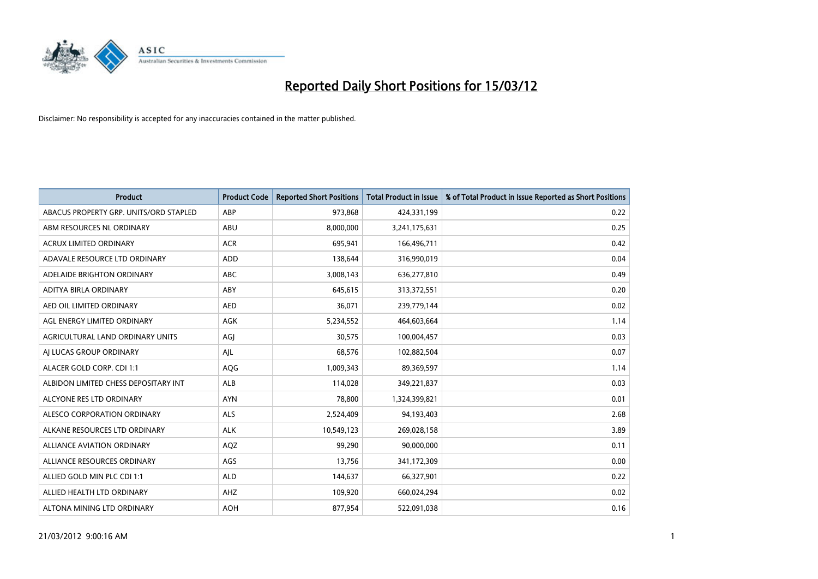

| <b>Product</b>                         | <b>Product Code</b> | <b>Reported Short Positions</b> | <b>Total Product in Issue</b> | % of Total Product in Issue Reported as Short Positions |
|----------------------------------------|---------------------|---------------------------------|-------------------------------|---------------------------------------------------------|
| ABACUS PROPERTY GRP. UNITS/ORD STAPLED | ABP                 | 973,868                         | 424,331,199                   | 0.22                                                    |
| ABM RESOURCES NL ORDINARY              | ABU                 | 8,000,000                       | 3,241,175,631                 | 0.25                                                    |
| <b>ACRUX LIMITED ORDINARY</b>          | <b>ACR</b>          | 695,941                         | 166,496,711                   | 0.42                                                    |
| ADAVALE RESOURCE LTD ORDINARY          | ADD                 | 138,644                         | 316,990,019                   | 0.04                                                    |
| ADELAIDE BRIGHTON ORDINARY             | <b>ABC</b>          | 3,008,143                       | 636,277,810                   | 0.49                                                    |
| ADITYA BIRLA ORDINARY                  | ABY                 | 645,615                         | 313,372,551                   | 0.20                                                    |
| AED OIL LIMITED ORDINARY               | <b>AED</b>          | 36.071                          | 239,779,144                   | 0.02                                                    |
| AGL ENERGY LIMITED ORDINARY            | <b>AGK</b>          | 5,234,552                       | 464,603,664                   | 1.14                                                    |
| AGRICULTURAL LAND ORDINARY UNITS       | AGJ                 | 30,575                          | 100,004,457                   | 0.03                                                    |
| AI LUCAS GROUP ORDINARY                | AJL                 | 68,576                          | 102,882,504                   | 0.07                                                    |
| ALACER GOLD CORP. CDI 1:1              | AQG                 | 1,009,343                       | 89,369,597                    | 1.14                                                    |
| ALBIDON LIMITED CHESS DEPOSITARY INT   | ALB                 | 114,028                         | 349,221,837                   | 0.03                                                    |
| ALCYONE RES LTD ORDINARY               | <b>AYN</b>          | 78,800                          | 1,324,399,821                 | 0.01                                                    |
| ALESCO CORPORATION ORDINARY            | <b>ALS</b>          | 2,524,409                       | 94,193,403                    | 2.68                                                    |
| ALKANE RESOURCES LTD ORDINARY          | <b>ALK</b>          | 10,549,123                      | 269,028,158                   | 3.89                                                    |
| <b>ALLIANCE AVIATION ORDINARY</b>      | AQZ                 | 99,290                          | 90,000,000                    | 0.11                                                    |
| ALLIANCE RESOURCES ORDINARY            | AGS                 | 13,756                          | 341,172,309                   | 0.00                                                    |
| ALLIED GOLD MIN PLC CDI 1:1            | <b>ALD</b>          | 144,637                         | 66,327,901                    | 0.22                                                    |
| ALLIED HEALTH LTD ORDINARY             | AHZ                 | 109,920                         | 660,024,294                   | 0.02                                                    |
| ALTONA MINING LTD ORDINARY             | <b>AOH</b>          | 877,954                         | 522,091,038                   | 0.16                                                    |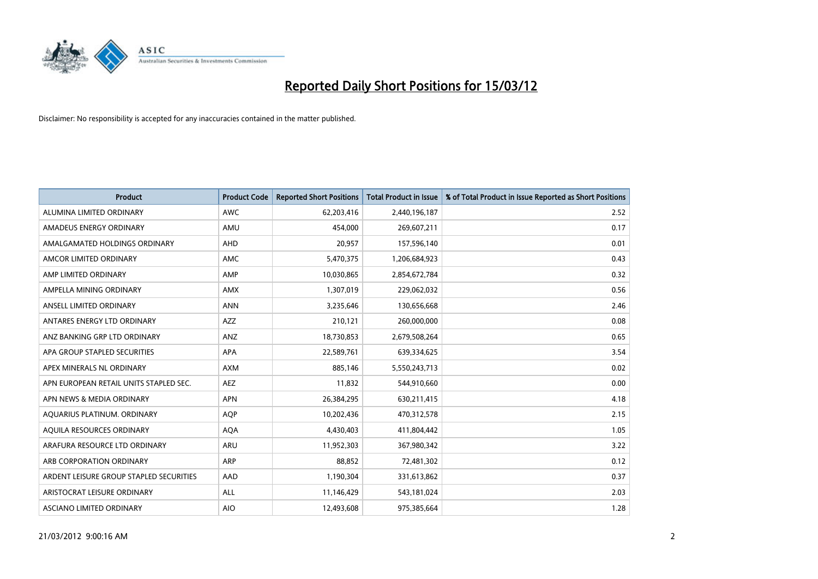

| <b>Product</b>                          | <b>Product Code</b> | <b>Reported Short Positions</b> | <b>Total Product in Issue</b> | % of Total Product in Issue Reported as Short Positions |
|-----------------------------------------|---------------------|---------------------------------|-------------------------------|---------------------------------------------------------|
| ALUMINA LIMITED ORDINARY                | <b>AWC</b>          | 62,203,416                      | 2,440,196,187                 | 2.52                                                    |
| AMADEUS ENERGY ORDINARY                 | AMU                 | 454,000                         | 269,607,211                   | 0.17                                                    |
| AMALGAMATED HOLDINGS ORDINARY           | <b>AHD</b>          | 20,957                          | 157,596,140                   | 0.01                                                    |
| AMCOR LIMITED ORDINARY                  | AMC                 | 5,470,375                       | 1,206,684,923                 | 0.43                                                    |
| AMP LIMITED ORDINARY                    | AMP                 | 10,030,865                      | 2,854,672,784                 | 0.32                                                    |
| AMPELLA MINING ORDINARY                 | <b>AMX</b>          | 1,307,019                       | 229,062,032                   | 0.56                                                    |
| ANSELL LIMITED ORDINARY                 | <b>ANN</b>          | 3,235,646                       | 130,656,668                   | 2.46                                                    |
| ANTARES ENERGY LTD ORDINARY             | AZZ                 | 210,121                         | 260,000,000                   | 0.08                                                    |
| ANZ BANKING GRP LTD ORDINARY            | ANZ                 | 18,730,853                      | 2,679,508,264                 | 0.65                                                    |
| APA GROUP STAPLED SECURITIES            | <b>APA</b>          | 22,589,761                      | 639,334,625                   | 3.54                                                    |
| APEX MINERALS NL ORDINARY               | <b>AXM</b>          | 885,146                         | 5,550,243,713                 | 0.02                                                    |
| APN EUROPEAN RETAIL UNITS STAPLED SEC.  | <b>AEZ</b>          | 11,832                          | 544,910,660                   | 0.00                                                    |
| APN NEWS & MEDIA ORDINARY               | <b>APN</b>          | 26,384,295                      | 630,211,415                   | 4.18                                                    |
| AQUARIUS PLATINUM. ORDINARY             | <b>AOP</b>          | 10,202,436                      | 470,312,578                   | 2.15                                                    |
| AQUILA RESOURCES ORDINARY               | <b>AQA</b>          | 4,430,403                       | 411,804,442                   | 1.05                                                    |
| ARAFURA RESOURCE LTD ORDINARY           | ARU                 | 11,952,303                      | 367,980,342                   | 3.22                                                    |
| ARB CORPORATION ORDINARY                | ARP                 | 88,852                          | 72,481,302                    | 0.12                                                    |
| ARDENT LEISURE GROUP STAPLED SECURITIES | AAD                 | 1,190,304                       | 331,613,862                   | 0.37                                                    |
| ARISTOCRAT LEISURE ORDINARY             | ALL                 | 11,146,429                      | 543,181,024                   | 2.03                                                    |
| ASCIANO LIMITED ORDINARY                | <b>AIO</b>          | 12,493,608                      | 975,385,664                   | 1.28                                                    |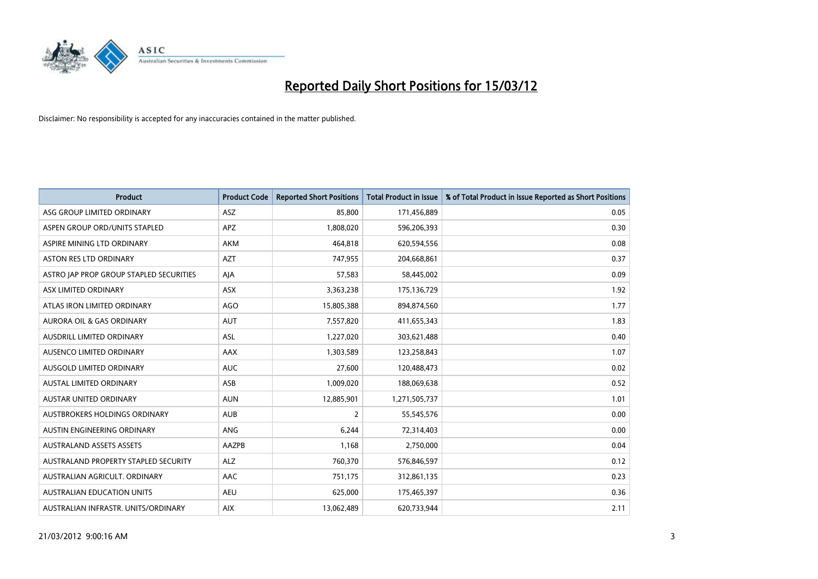

| <b>Product</b>                          | <b>Product Code</b> | <b>Reported Short Positions</b> | <b>Total Product in Issue</b> | % of Total Product in Issue Reported as Short Positions |
|-----------------------------------------|---------------------|---------------------------------|-------------------------------|---------------------------------------------------------|
| ASG GROUP LIMITED ORDINARY              | ASZ                 | 85,800                          | 171,456,889                   | 0.05                                                    |
| ASPEN GROUP ORD/UNITS STAPLED           | <b>APZ</b>          | 1,808,020                       | 596,206,393                   | 0.30                                                    |
| ASPIRE MINING LTD ORDINARY              | AKM                 | 464,818                         | 620,594,556                   | 0.08                                                    |
| <b>ASTON RES LTD ORDINARY</b>           | <b>AZT</b>          | 747,955                         | 204,668,861                   | 0.37                                                    |
| ASTRO JAP PROP GROUP STAPLED SECURITIES | AJA                 | 57,583                          | 58,445,002                    | 0.09                                                    |
| ASX LIMITED ORDINARY                    | ASX                 | 3,363,238                       | 175,136,729                   | 1.92                                                    |
| ATLAS IRON LIMITED ORDINARY             | AGO                 | 15,805,388                      | 894,874,560                   | 1.77                                                    |
| <b>AURORA OIL &amp; GAS ORDINARY</b>    | <b>AUT</b>          | 7,557,820                       | 411,655,343                   | 1.83                                                    |
| AUSDRILL LIMITED ORDINARY               | ASL                 | 1,227,020                       | 303,621,488                   | 0.40                                                    |
| AUSENCO LIMITED ORDINARY                | AAX                 | 1,303,589                       | 123,258,843                   | 1.07                                                    |
| AUSGOLD LIMITED ORDINARY                | <b>AUC</b>          | 27,600                          | 120,488,473                   | 0.02                                                    |
| <b>AUSTAL LIMITED ORDINARY</b>          | ASB                 | 1,009,020                       | 188,069,638                   | 0.52                                                    |
| <b>AUSTAR UNITED ORDINARY</b>           | <b>AUN</b>          | 12,885,901                      | 1,271,505,737                 | 1.01                                                    |
| AUSTBROKERS HOLDINGS ORDINARY           | <b>AUB</b>          | 2                               | 55,545,576                    | 0.00                                                    |
| AUSTIN ENGINEERING ORDINARY             | ANG                 | 6,244                           | 72,314,403                    | 0.00                                                    |
| <b>AUSTRALAND ASSETS ASSETS</b>         | AAZPB               | 1,168                           | 2,750,000                     | 0.04                                                    |
| AUSTRALAND PROPERTY STAPLED SECURITY    | <b>ALZ</b>          | 760,370                         | 576,846,597                   | 0.12                                                    |
| AUSTRALIAN AGRICULT, ORDINARY           | AAC                 | 751,175                         | 312,861,135                   | 0.23                                                    |
| <b>AUSTRALIAN EDUCATION UNITS</b>       | <b>AEU</b>          | 625,000                         | 175,465,397                   | 0.36                                                    |
| AUSTRALIAN INFRASTR. UNITS/ORDINARY     | <b>AIX</b>          | 13,062,489                      | 620,733,944                   | 2.11                                                    |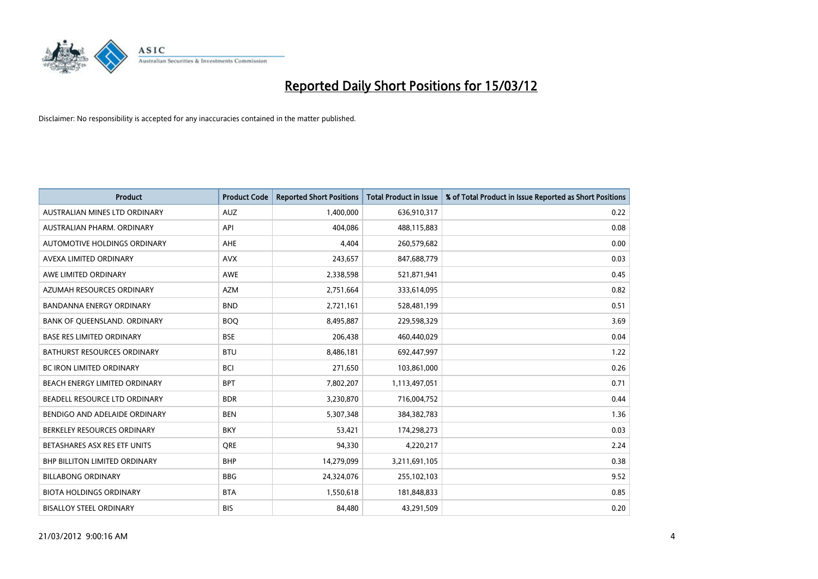

| <b>Product</b>                     | <b>Product Code</b> | <b>Reported Short Positions</b> | <b>Total Product in Issue</b> | % of Total Product in Issue Reported as Short Positions |
|------------------------------------|---------------------|---------------------------------|-------------------------------|---------------------------------------------------------|
| AUSTRALIAN MINES LTD ORDINARY      | <b>AUZ</b>          | 1,400,000                       | 636,910,317                   | 0.22                                                    |
| AUSTRALIAN PHARM. ORDINARY         | API                 | 404,086                         | 488,115,883                   | 0.08                                                    |
| AUTOMOTIVE HOLDINGS ORDINARY       | AHE                 | 4,404                           | 260,579,682                   | 0.00                                                    |
| AVEXA LIMITED ORDINARY             | <b>AVX</b>          | 243,657                         | 847,688,779                   | 0.03                                                    |
| AWE LIMITED ORDINARY               | AWE                 | 2,338,598                       | 521,871,941                   | 0.45                                                    |
| AZUMAH RESOURCES ORDINARY          | <b>AZM</b>          | 2,751,664                       | 333,614,095                   | 0.82                                                    |
| <b>BANDANNA ENERGY ORDINARY</b>    | <b>BND</b>          | 2,721,161                       | 528,481,199                   | 0.51                                                    |
| BANK OF QUEENSLAND. ORDINARY       | <b>BOO</b>          | 8,495,887                       | 229,598,329                   | 3.69                                                    |
| <b>BASE RES LIMITED ORDINARY</b>   | <b>BSE</b>          | 206,438                         | 460,440,029                   | 0.04                                                    |
| <b>BATHURST RESOURCES ORDINARY</b> | <b>BTU</b>          | 8,486,181                       | 692,447,997                   | 1.22                                                    |
| BC IRON LIMITED ORDINARY           | <b>BCI</b>          | 271,650                         | 103,861,000                   | 0.26                                                    |
| BEACH ENERGY LIMITED ORDINARY      | <b>BPT</b>          | 7,802,207                       | 1,113,497,051                 | 0.71                                                    |
| BEADELL RESOURCE LTD ORDINARY      | <b>BDR</b>          | 3,230,870                       | 716,004,752                   | 0.44                                                    |
| BENDIGO AND ADELAIDE ORDINARY      | <b>BEN</b>          | 5,307,348                       | 384, 382, 783                 | 1.36                                                    |
| BERKELEY RESOURCES ORDINARY        | <b>BKY</b>          | 53,421                          | 174,298,273                   | 0.03                                                    |
| BETASHARES ASX RES ETF UNITS       | <b>ORE</b>          | 94,330                          | 4,220,217                     | 2.24                                                    |
| BHP BILLITON LIMITED ORDINARY      | <b>BHP</b>          | 14,279,099                      | 3,211,691,105                 | 0.38                                                    |
| <b>BILLABONG ORDINARY</b>          | <b>BBG</b>          | 24,324,076                      | 255,102,103                   | 9.52                                                    |
| <b>BIOTA HOLDINGS ORDINARY</b>     | <b>BTA</b>          | 1,550,618                       | 181,848,833                   | 0.85                                                    |
| <b>BISALLOY STEEL ORDINARY</b>     | <b>BIS</b>          | 84,480                          | 43,291,509                    | 0.20                                                    |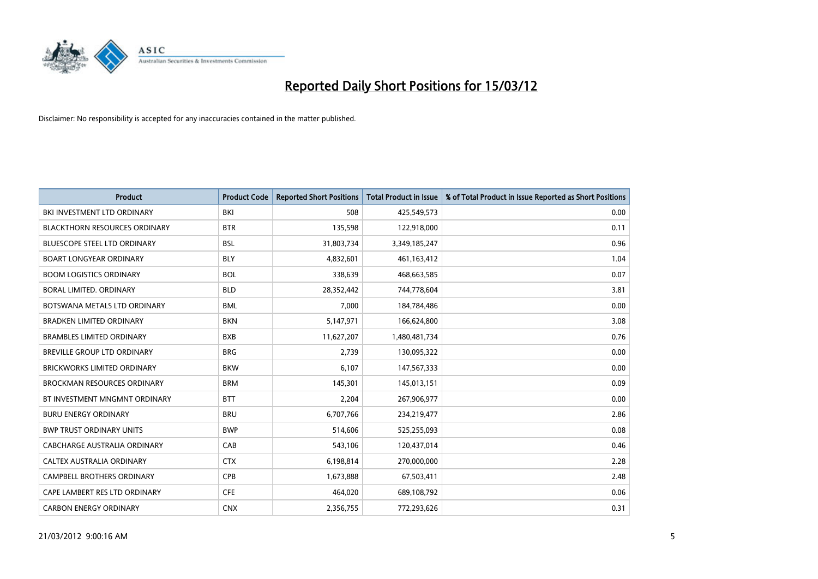

| Product                              | <b>Product Code</b> | <b>Reported Short Positions</b> | <b>Total Product in Issue</b> | % of Total Product in Issue Reported as Short Positions |
|--------------------------------------|---------------------|---------------------------------|-------------------------------|---------------------------------------------------------|
| BKI INVESTMENT LTD ORDINARY          | BKI                 | 508                             | 425,549,573                   | 0.00                                                    |
| <b>BLACKTHORN RESOURCES ORDINARY</b> | <b>BTR</b>          | 135,598                         | 122,918,000                   | 0.11                                                    |
| BLUESCOPE STEEL LTD ORDINARY         | <b>BSL</b>          | 31,803,734                      | 3,349,185,247                 | 0.96                                                    |
| <b>BOART LONGYEAR ORDINARY</b>       | <b>BLY</b>          | 4,832,601                       | 461,163,412                   | 1.04                                                    |
| <b>BOOM LOGISTICS ORDINARY</b>       | <b>BOL</b>          | 338,639                         | 468,663,585                   | 0.07                                                    |
| BORAL LIMITED. ORDINARY              | <b>BLD</b>          | 28,352,442                      | 744,778,604                   | 3.81                                                    |
| BOTSWANA METALS LTD ORDINARY         | <b>BML</b>          | 7,000                           | 184,784,486                   | 0.00                                                    |
| BRADKEN LIMITED ORDINARY             | <b>BKN</b>          | 5,147,971                       | 166,624,800                   | 3.08                                                    |
| <b>BRAMBLES LIMITED ORDINARY</b>     | <b>BXB</b>          | 11,627,207                      | 1,480,481,734                 | 0.76                                                    |
| BREVILLE GROUP LTD ORDINARY          | <b>BRG</b>          | 2,739                           | 130,095,322                   | 0.00                                                    |
| <b>BRICKWORKS LIMITED ORDINARY</b>   | <b>BKW</b>          | 6,107                           | 147,567,333                   | 0.00                                                    |
| <b>BROCKMAN RESOURCES ORDINARY</b>   | <b>BRM</b>          | 145,301                         | 145,013,151                   | 0.09                                                    |
| BT INVESTMENT MNGMNT ORDINARY        | <b>BTT</b>          | 2,204                           | 267,906,977                   | 0.00                                                    |
| <b>BURU ENERGY ORDINARY</b>          | <b>BRU</b>          | 6,707,766                       | 234,219,477                   | 2.86                                                    |
| <b>BWP TRUST ORDINARY UNITS</b>      | <b>BWP</b>          | 514,606                         | 525,255,093                   | 0.08                                                    |
| <b>CABCHARGE AUSTRALIA ORDINARY</b>  | CAB                 | 543,106                         | 120,437,014                   | 0.46                                                    |
| CALTEX AUSTRALIA ORDINARY            | <b>CTX</b>          | 6,198,814                       | 270,000,000                   | 2.28                                                    |
| <b>CAMPBELL BROTHERS ORDINARY</b>    | <b>CPB</b>          | 1,673,888                       | 67,503,411                    | 2.48                                                    |
| CAPE LAMBERT RES LTD ORDINARY        | <b>CFE</b>          | 464,020                         | 689,108,792                   | 0.06                                                    |
| <b>CARBON ENERGY ORDINARY</b>        | <b>CNX</b>          | 2,356,755                       | 772,293,626                   | 0.31                                                    |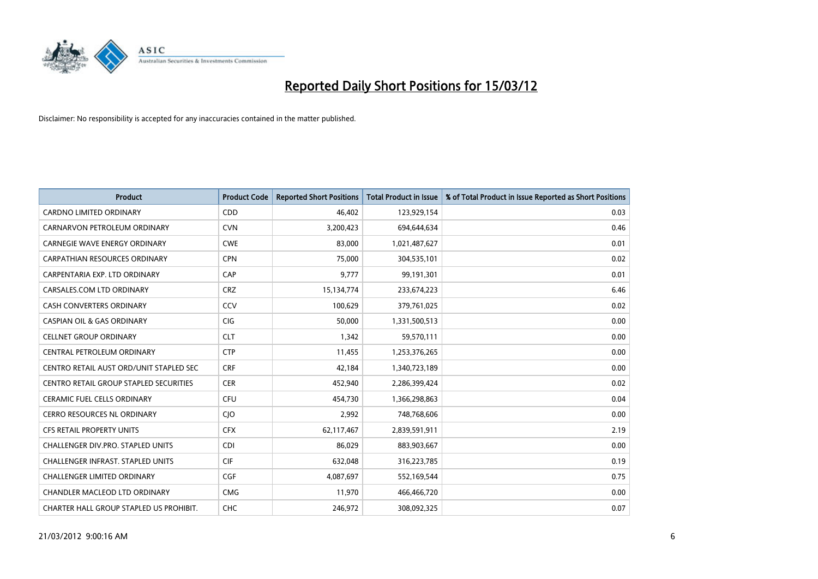

| <b>Product</b>                                | <b>Product Code</b> | <b>Reported Short Positions</b> | <b>Total Product in Issue</b> | % of Total Product in Issue Reported as Short Positions |
|-----------------------------------------------|---------------------|---------------------------------|-------------------------------|---------------------------------------------------------|
| <b>CARDNO LIMITED ORDINARY</b>                | CDD                 | 46,402                          | 123,929,154                   | 0.03                                                    |
| CARNARVON PETROLEUM ORDINARY                  | <b>CVN</b>          | 3,200,423                       | 694,644,634                   | 0.46                                                    |
| CARNEGIE WAVE ENERGY ORDINARY                 | <b>CWE</b>          | 83,000                          | 1,021,487,627                 | 0.01                                                    |
| CARPATHIAN RESOURCES ORDINARY                 | <b>CPN</b>          | 75,000                          | 304,535,101                   | 0.02                                                    |
| CARPENTARIA EXP. LTD ORDINARY                 | CAP                 | 9,777                           | 99,191,301                    | 0.01                                                    |
| CARSALES.COM LTD ORDINARY                     | <b>CRZ</b>          | 15,134,774                      | 233,674,223                   | 6.46                                                    |
| <b>CASH CONVERTERS ORDINARY</b>               | <b>CCV</b>          | 100,629                         | 379,761,025                   | 0.02                                                    |
| <b>CASPIAN OIL &amp; GAS ORDINARY</b>         | <b>CIG</b>          | 50,000                          | 1,331,500,513                 | 0.00                                                    |
| <b>CELLNET GROUP ORDINARY</b>                 | <b>CLT</b>          | 1,342                           | 59,570,111                    | 0.00                                                    |
| <b>CENTRAL PETROLEUM ORDINARY</b>             | <b>CTP</b>          | 11,455                          | 1,253,376,265                 | 0.00                                                    |
| CENTRO RETAIL AUST ORD/UNIT STAPLED SEC       | <b>CRF</b>          | 42,184                          | 1,340,723,189                 | 0.00                                                    |
| <b>CENTRO RETAIL GROUP STAPLED SECURITIES</b> | <b>CER</b>          | 452,940                         | 2,286,399,424                 | 0.02                                                    |
| <b>CERAMIC FUEL CELLS ORDINARY</b>            | <b>CFU</b>          | 454,730                         | 1,366,298,863                 | 0.04                                                    |
| <b>CERRO RESOURCES NL ORDINARY</b>            | CJO                 | 2,992                           | 748,768,606                   | 0.00                                                    |
| <b>CFS RETAIL PROPERTY UNITS</b>              | <b>CFX</b>          | 62,117,467                      | 2,839,591,911                 | 2.19                                                    |
| CHALLENGER DIV.PRO. STAPLED UNITS             | <b>CDI</b>          | 86,029                          | 883,903,667                   | 0.00                                                    |
| CHALLENGER INFRAST. STAPLED UNITS             | <b>CIF</b>          | 632,048                         | 316,223,785                   | 0.19                                                    |
| <b>CHALLENGER LIMITED ORDINARY</b>            | <b>CGF</b>          | 4,087,697                       | 552,169,544                   | 0.75                                                    |
| CHANDLER MACLEOD LTD ORDINARY                 | <b>CMG</b>          | 11,970                          | 466,466,720                   | 0.00                                                    |
| CHARTER HALL GROUP STAPLED US PROHIBIT.       | <b>CHC</b>          | 246,972                         | 308,092,325                   | 0.07                                                    |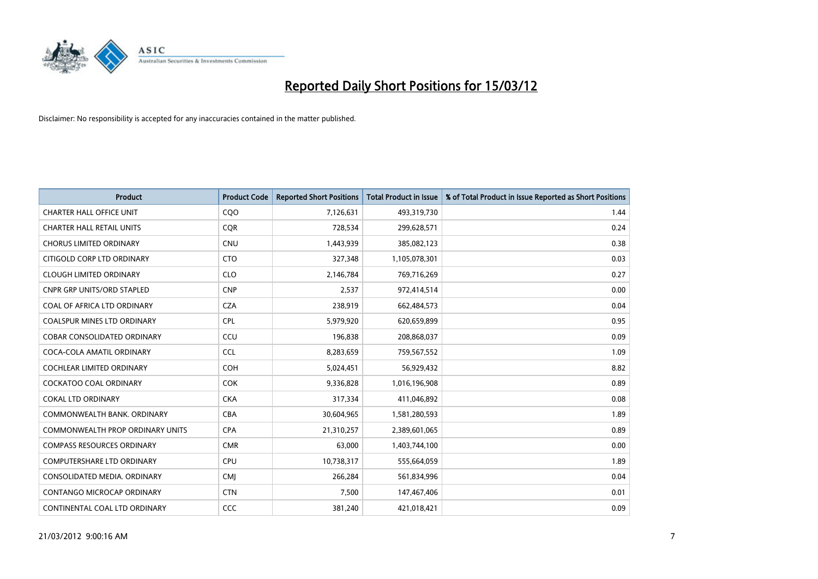

| <b>Product</b>                          | <b>Product Code</b> | <b>Reported Short Positions</b> | <b>Total Product in Issue</b> | % of Total Product in Issue Reported as Short Positions |
|-----------------------------------------|---------------------|---------------------------------|-------------------------------|---------------------------------------------------------|
| <b>CHARTER HALL OFFICE UNIT</b>         | COO                 | 7,126,631                       | 493,319,730                   | 1.44                                                    |
| <b>CHARTER HALL RETAIL UNITS</b>        | <b>CQR</b>          | 728,534                         | 299,628,571                   | 0.24                                                    |
| <b>CHORUS LIMITED ORDINARY</b>          | <b>CNU</b>          | 1,443,939                       | 385,082,123                   | 0.38                                                    |
| CITIGOLD CORP LTD ORDINARY              | <b>CTO</b>          | 327,348                         | 1,105,078,301                 | 0.03                                                    |
| <b>CLOUGH LIMITED ORDINARY</b>          | <b>CLO</b>          | 2,146,784                       | 769,716,269                   | 0.27                                                    |
| <b>CNPR GRP UNITS/ORD STAPLED</b>       | <b>CNP</b>          | 2,537                           | 972,414,514                   | 0.00                                                    |
| COAL OF AFRICA LTD ORDINARY             | <b>CZA</b>          | 238,919                         | 662,484,573                   | 0.04                                                    |
| COALSPUR MINES LTD ORDINARY             | <b>CPL</b>          | 5,979,920                       | 620,659,899                   | 0.95                                                    |
| <b>COBAR CONSOLIDATED ORDINARY</b>      | CCU                 | 196,838                         | 208,868,037                   | 0.09                                                    |
| COCA-COLA AMATIL ORDINARY               | <b>CCL</b>          | 8,283,659                       | 759,567,552                   | 1.09                                                    |
| COCHLEAR LIMITED ORDINARY               | <b>COH</b>          | 5,024,451                       | 56,929,432                    | 8.82                                                    |
| COCKATOO COAL ORDINARY                  | <b>COK</b>          | 9,336,828                       | 1,016,196,908                 | 0.89                                                    |
| <b>COKAL LTD ORDINARY</b>               | <b>CKA</b>          | 317,334                         | 411,046,892                   | 0.08                                                    |
| COMMONWEALTH BANK, ORDINARY             | <b>CBA</b>          | 30,604,965                      | 1,581,280,593                 | 1.89                                                    |
| <b>COMMONWEALTH PROP ORDINARY UNITS</b> | <b>CPA</b>          | 21,310,257                      | 2,389,601,065                 | 0.89                                                    |
| <b>COMPASS RESOURCES ORDINARY</b>       | <b>CMR</b>          | 63,000                          | 1,403,744,100                 | 0.00                                                    |
| COMPUTERSHARE LTD ORDINARY              | <b>CPU</b>          | 10,738,317                      | 555,664,059                   | 1.89                                                    |
| CONSOLIDATED MEDIA, ORDINARY            | <b>CMI</b>          | 266,284                         | 561,834,996                   | 0.04                                                    |
| CONTANGO MICROCAP ORDINARY              | <b>CTN</b>          | 7,500                           | 147,467,406                   | 0.01                                                    |
| CONTINENTAL COAL LTD ORDINARY           | CCC                 | 381,240                         | 421,018,421                   | 0.09                                                    |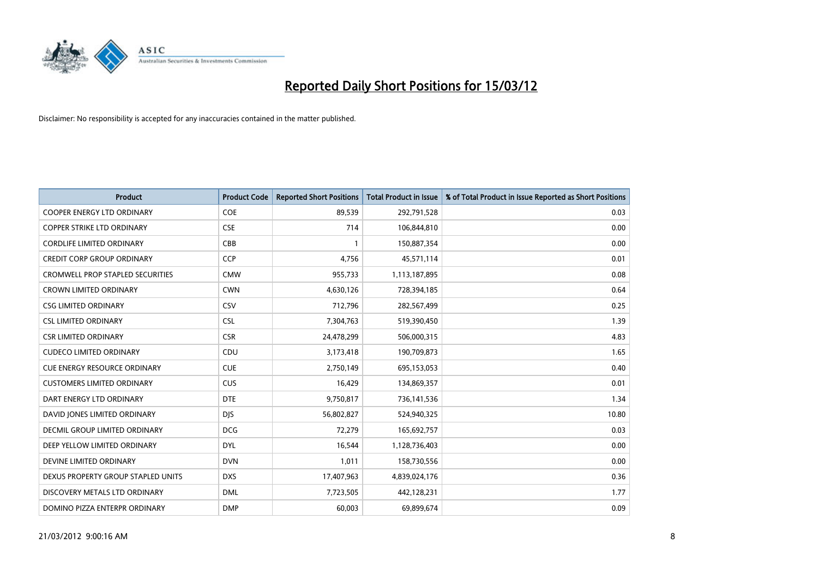

| <b>Product</b>                          | <b>Product Code</b> | <b>Reported Short Positions</b> | <b>Total Product in Issue</b> | % of Total Product in Issue Reported as Short Positions |
|-----------------------------------------|---------------------|---------------------------------|-------------------------------|---------------------------------------------------------|
| <b>COOPER ENERGY LTD ORDINARY</b>       | <b>COE</b>          | 89,539                          | 292,791,528                   | 0.03                                                    |
| COPPER STRIKE LTD ORDINARY              | <b>CSE</b>          | 714                             | 106,844,810                   | 0.00                                                    |
| <b>CORDLIFE LIMITED ORDINARY</b>        | CBB                 | $\mathbf{1}$                    | 150,887,354                   | 0.00                                                    |
| <b>CREDIT CORP GROUP ORDINARY</b>       | <b>CCP</b>          | 4,756                           | 45,571,114                    | 0.01                                                    |
| <b>CROMWELL PROP STAPLED SECURITIES</b> | <b>CMW</b>          | 955,733                         | 1,113,187,895                 | 0.08                                                    |
| <b>CROWN LIMITED ORDINARY</b>           | <b>CWN</b>          | 4,630,126                       | 728,394,185                   | 0.64                                                    |
| <b>CSG LIMITED ORDINARY</b>             | CSV                 | 712,796                         | 282,567,499                   | 0.25                                                    |
| <b>CSL LIMITED ORDINARY</b>             | <b>CSL</b>          | 7,304,763                       | 519,390,450                   | 1.39                                                    |
| <b>CSR LIMITED ORDINARY</b>             | <b>CSR</b>          | 24,478,299                      | 506,000,315                   | 4.83                                                    |
| <b>CUDECO LIMITED ORDINARY</b>          | CDU                 | 3,173,418                       | 190,709,873                   | 1.65                                                    |
| CUE ENERGY RESOURCE ORDINARY            | <b>CUE</b>          | 2,750,149                       | 695,153,053                   | 0.40                                                    |
| <b>CUSTOMERS LIMITED ORDINARY</b>       | <b>CUS</b>          | 16,429                          | 134,869,357                   | 0.01                                                    |
| DART ENERGY LTD ORDINARY                | <b>DTE</b>          | 9,750,817                       | 736,141,536                   | 1.34                                                    |
| DAVID JONES LIMITED ORDINARY            | <b>DJS</b>          | 56,802,827                      | 524,940,325                   | 10.80                                                   |
| <b>DECMIL GROUP LIMITED ORDINARY</b>    | <b>DCG</b>          | 72,279                          | 165,692,757                   | 0.03                                                    |
| DEEP YELLOW LIMITED ORDINARY            | <b>DYL</b>          | 16,544                          | 1,128,736,403                 | 0.00                                                    |
| DEVINE LIMITED ORDINARY                 | <b>DVN</b>          | 1,011                           | 158,730,556                   | 0.00                                                    |
| DEXUS PROPERTY GROUP STAPLED UNITS      | <b>DXS</b>          | 17,407,963                      | 4,839,024,176                 | 0.36                                                    |
| DISCOVERY METALS LTD ORDINARY           | <b>DML</b>          | 7,723,505                       | 442,128,231                   | 1.77                                                    |
| DOMINO PIZZA ENTERPR ORDINARY           | <b>DMP</b>          | 60,003                          | 69,899,674                    | 0.09                                                    |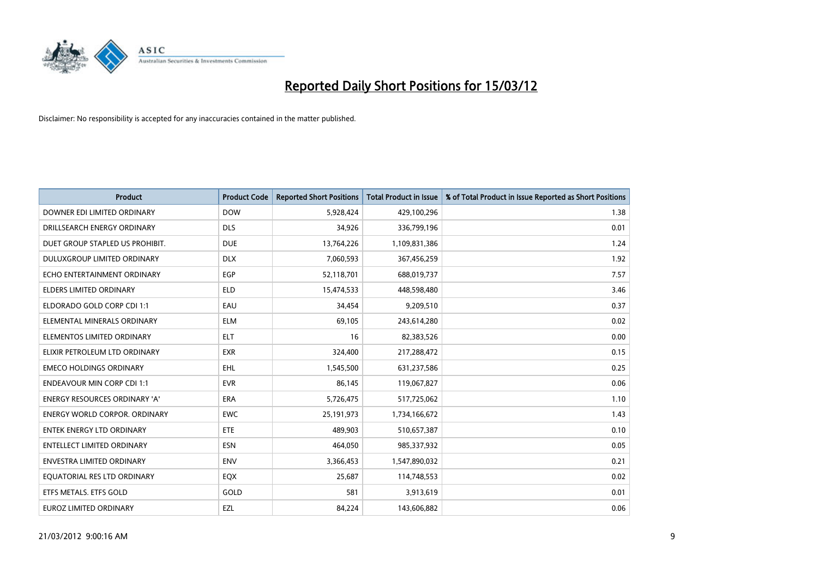

| <b>Product</b>                       | <b>Product Code</b> | <b>Reported Short Positions</b> | <b>Total Product in Issue</b> | % of Total Product in Issue Reported as Short Positions |
|--------------------------------------|---------------------|---------------------------------|-------------------------------|---------------------------------------------------------|
| DOWNER EDI LIMITED ORDINARY          | <b>DOW</b>          | 5,928,424                       | 429,100,296                   | 1.38                                                    |
| DRILLSEARCH ENERGY ORDINARY          | <b>DLS</b>          | 34,926                          | 336,799,196                   | 0.01                                                    |
| DUET GROUP STAPLED US PROHIBIT.      | <b>DUE</b>          | 13,764,226                      | 1,109,831,386                 | 1.24                                                    |
| DULUXGROUP LIMITED ORDINARY          | <b>DLX</b>          | 7,060,593                       | 367,456,259                   | 1.92                                                    |
| ECHO ENTERTAINMENT ORDINARY          | <b>EGP</b>          | 52,118,701                      | 688,019,737                   | 7.57                                                    |
| ELDERS LIMITED ORDINARY              | <b>ELD</b>          | 15,474,533                      | 448,598,480                   | 3.46                                                    |
| ELDORADO GOLD CORP CDI 1:1           | EAU                 | 34,454                          | 9,209,510                     | 0.37                                                    |
| ELEMENTAL MINERALS ORDINARY          | <b>ELM</b>          | 69,105                          | 243,614,280                   | 0.02                                                    |
| ELEMENTOS LIMITED ORDINARY           | <b>ELT</b>          | 16                              | 82,383,526                    | 0.00                                                    |
| ELIXIR PETROLEUM LTD ORDINARY        | <b>EXR</b>          | 324,400                         | 217,288,472                   | 0.15                                                    |
| <b>EMECO HOLDINGS ORDINARY</b>       | <b>EHL</b>          | 1,545,500                       | 631,237,586                   | 0.25                                                    |
| <b>ENDEAVOUR MIN CORP CDI 1:1</b>    | <b>EVR</b>          | 86,145                          | 119,067,827                   | 0.06                                                    |
| <b>ENERGY RESOURCES ORDINARY 'A'</b> | <b>ERA</b>          | 5,726,475                       | 517,725,062                   | 1.10                                                    |
| <b>ENERGY WORLD CORPOR, ORDINARY</b> | <b>EWC</b>          | 25, 191, 973                    | 1,734,166,672                 | 1.43                                                    |
| <b>ENTEK ENERGY LTD ORDINARY</b>     | ETE                 | 489.903                         | 510,657,387                   | 0.10                                                    |
| <b>ENTELLECT LIMITED ORDINARY</b>    | <b>ESN</b>          | 464,050                         | 985,337,932                   | 0.05                                                    |
| ENVESTRA LIMITED ORDINARY            | ENV                 | 3,366,453                       | 1,547,890,032                 | 0.21                                                    |
| EQUATORIAL RES LTD ORDINARY          | EQX                 | 25,687                          | 114,748,553                   | 0.02                                                    |
| ETFS METALS. ETFS GOLD               | GOLD                | 581                             | 3,913,619                     | 0.01                                                    |
| EUROZ LIMITED ORDINARY               | EZL                 | 84,224                          | 143,606,882                   | 0.06                                                    |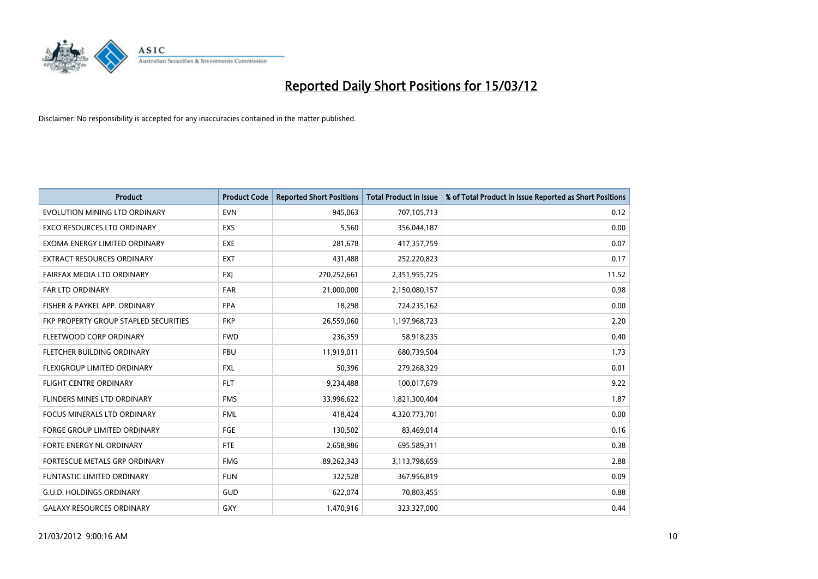

| <b>Product</b>                        | <b>Product Code</b> | <b>Reported Short Positions</b> | <b>Total Product in Issue</b> | % of Total Product in Issue Reported as Short Positions |
|---------------------------------------|---------------------|---------------------------------|-------------------------------|---------------------------------------------------------|
| EVOLUTION MINING LTD ORDINARY         | <b>EVN</b>          | 945,063                         | 707,105,713                   | 0.12                                                    |
| EXCO RESOURCES LTD ORDINARY           | EXS                 | 5,560                           | 356,044,187                   | 0.00                                                    |
| EXOMA ENERGY LIMITED ORDINARY         | <b>EXE</b>          | 281,678                         | 417,357,759                   | 0.07                                                    |
| EXTRACT RESOURCES ORDINARY            | <b>EXT</b>          | 431,488                         | 252,220,823                   | 0.17                                                    |
| FAIRFAX MEDIA LTD ORDINARY            | <b>FXI</b>          | 270,252,661                     | 2,351,955,725                 | 11.52                                                   |
| <b>FAR LTD ORDINARY</b>               | <b>FAR</b>          | 21,000,000                      | 2,150,080,157                 | 0.98                                                    |
| FISHER & PAYKEL APP. ORDINARY         | <b>FPA</b>          | 18,298                          | 724,235,162                   | 0.00                                                    |
| FKP PROPERTY GROUP STAPLED SECURITIES | <b>FKP</b>          | 26,559,060                      | 1,197,968,723                 | 2.20                                                    |
| FLEETWOOD CORP ORDINARY               | <b>FWD</b>          | 236,359                         | 58,918,235                    | 0.40                                                    |
| FLETCHER BUILDING ORDINARY            | <b>FBU</b>          | 11,919,011                      | 680,739,504                   | 1.73                                                    |
| FLEXIGROUP LIMITED ORDINARY           | <b>FXL</b>          | 50,396                          | 279,268,329                   | 0.01                                                    |
| <b>FLIGHT CENTRE ORDINARY</b>         | <b>FLT</b>          | 9,234,488                       | 100,017,679                   | 9.22                                                    |
| FLINDERS MINES LTD ORDINARY           | <b>FMS</b>          | 33,996,622                      | 1,821,300,404                 | 1.87                                                    |
| <b>FOCUS MINERALS LTD ORDINARY</b>    | <b>FML</b>          | 418,424                         | 4,320,773,701                 | 0.00                                                    |
| <b>FORGE GROUP LIMITED ORDINARY</b>   | FGE                 | 130,502                         | 83,469,014                    | 0.16                                                    |
| FORTE ENERGY NL ORDINARY              | FTE                 | 2,658,986                       | 695,589,311                   | 0.38                                                    |
| FORTESCUE METALS GRP ORDINARY         | <b>FMG</b>          | 89,262,343                      | 3,113,798,659                 | 2.88                                                    |
| <b>FUNTASTIC LIMITED ORDINARY</b>     | <b>FUN</b>          | 322,528                         | 367,956,819                   | 0.09                                                    |
| <b>G.U.D. HOLDINGS ORDINARY</b>       | GUD                 | 622,074                         | 70,803,455                    | 0.88                                                    |
| <b>GALAXY RESOURCES ORDINARY</b>      | GXY                 | 1,470,916                       | 323,327,000                   | 0.44                                                    |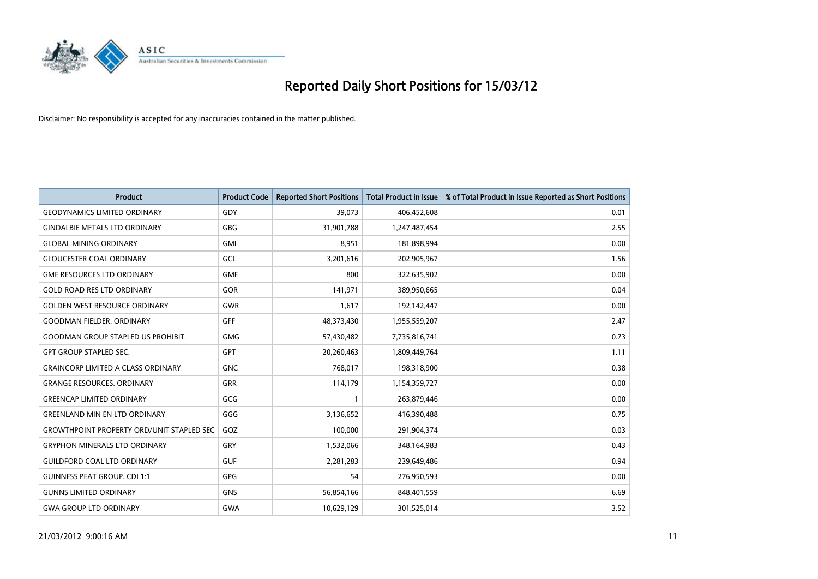

| <b>Product</b>                                   | <b>Product Code</b> | <b>Reported Short Positions</b> | <b>Total Product in Issue</b> | % of Total Product in Issue Reported as Short Positions |
|--------------------------------------------------|---------------------|---------------------------------|-------------------------------|---------------------------------------------------------|
| <b>GEODYNAMICS LIMITED ORDINARY</b>              | GDY                 | 39,073                          | 406,452,608                   | 0.01                                                    |
| <b>GINDALBIE METALS LTD ORDINARY</b>             | GBG                 | 31,901,788                      | 1,247,487,454                 | 2.55                                                    |
| <b>GLOBAL MINING ORDINARY</b>                    | <b>GMI</b>          | 8,951                           | 181,898,994                   | 0.00                                                    |
| <b>GLOUCESTER COAL ORDINARY</b>                  | GCL                 | 3,201,616                       | 202,905,967                   | 1.56                                                    |
| <b>GME RESOURCES LTD ORDINARY</b>                | <b>GME</b>          | 800                             | 322,635,902                   | 0.00                                                    |
| <b>GOLD ROAD RES LTD ORDINARY</b>                | GOR                 | 141,971                         | 389,950,665                   | 0.04                                                    |
| <b>GOLDEN WEST RESOURCE ORDINARY</b>             | <b>GWR</b>          | 1,617                           | 192,142,447                   | 0.00                                                    |
| <b>GOODMAN FIELDER, ORDINARY</b>                 | <b>GFF</b>          | 48,373,430                      | 1,955,559,207                 | 2.47                                                    |
| <b>GOODMAN GROUP STAPLED US PROHIBIT.</b>        | <b>GMG</b>          | 57,430,482                      | 7,735,816,741                 | 0.73                                                    |
| <b>GPT GROUP STAPLED SEC.</b>                    | <b>GPT</b>          | 20,260,463                      | 1,809,449,764                 | 1.11                                                    |
| <b>GRAINCORP LIMITED A CLASS ORDINARY</b>        | <b>GNC</b>          | 768,017                         | 198,318,900                   | 0.38                                                    |
| <b>GRANGE RESOURCES. ORDINARY</b>                | <b>GRR</b>          | 114,179                         | 1,154,359,727                 | 0.00                                                    |
| <b>GREENCAP LIMITED ORDINARY</b>                 | GCG                 | $\mathbf{1}$                    | 263,879,446                   | 0.00                                                    |
| <b>GREENLAND MIN EN LTD ORDINARY</b>             | GGG                 | 3,136,652                       | 416,390,488                   | 0.75                                                    |
| <b>GROWTHPOINT PROPERTY ORD/UNIT STAPLED SEC</b> | GOZ                 | 100,000                         | 291,904,374                   | 0.03                                                    |
| <b>GRYPHON MINERALS LTD ORDINARY</b>             | GRY                 | 1,532,066                       | 348,164,983                   | 0.43                                                    |
| <b>GUILDFORD COAL LTD ORDINARY</b>               | <b>GUF</b>          | 2,281,283                       | 239,649,486                   | 0.94                                                    |
| <b>GUINNESS PEAT GROUP. CDI 1:1</b>              | GPG                 | 54                              | 276,950,593                   | 0.00                                                    |
| <b>GUNNS LIMITED ORDINARY</b>                    | <b>GNS</b>          | 56,854,166                      | 848,401,559                   | 6.69                                                    |
| <b>GWA GROUP LTD ORDINARY</b>                    | <b>GWA</b>          | 10,629,129                      | 301,525,014                   | 3.52                                                    |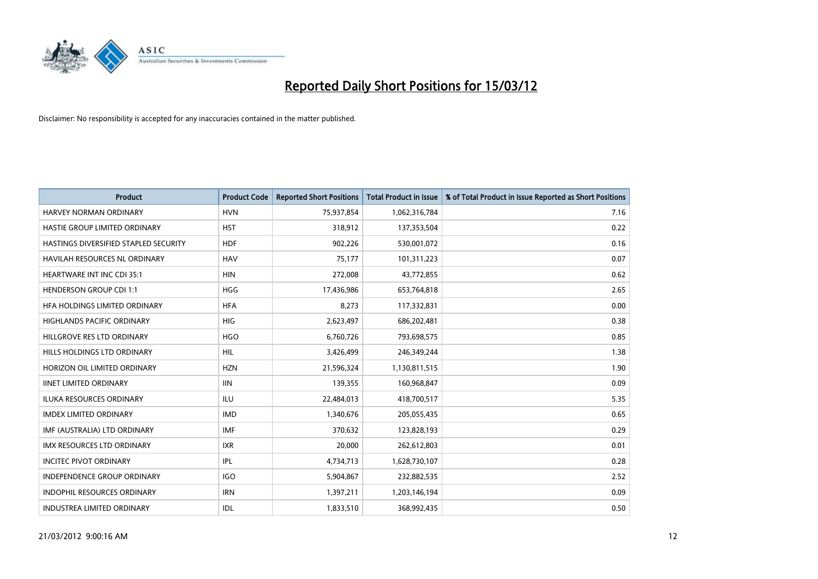

| <b>Product</b>                        | <b>Product Code</b> | <b>Reported Short Positions</b> | <b>Total Product in Issue</b> | % of Total Product in Issue Reported as Short Positions |
|---------------------------------------|---------------------|---------------------------------|-------------------------------|---------------------------------------------------------|
| HARVEY NORMAN ORDINARY                | <b>HVN</b>          | 75,937,854                      | 1,062,316,784                 | 7.16                                                    |
| HASTIE GROUP LIMITED ORDINARY         | <b>HST</b>          | 318,912                         | 137,353,504                   | 0.22                                                    |
| HASTINGS DIVERSIFIED STAPLED SECURITY | <b>HDF</b>          | 902,226                         | 530,001,072                   | 0.16                                                    |
| HAVILAH RESOURCES NL ORDINARY         | <b>HAV</b>          | 75,177                          | 101,311,223                   | 0.07                                                    |
| <b>HEARTWARE INT INC CDI 35:1</b>     | <b>HIN</b>          | 272,008                         | 43,772,855                    | 0.62                                                    |
| <b>HENDERSON GROUP CDI 1:1</b>        | <b>HGG</b>          | 17,436,986                      | 653,764,818                   | 2.65                                                    |
| HFA HOLDINGS LIMITED ORDINARY         | <b>HFA</b>          | 8,273                           | 117,332,831                   | 0.00                                                    |
| <b>HIGHLANDS PACIFIC ORDINARY</b>     | <b>HIG</b>          | 2,623,497                       | 686,202,481                   | 0.38                                                    |
| HILLGROVE RES LTD ORDINARY            | <b>HGO</b>          | 6,760,726                       | 793,698,575                   | 0.85                                                    |
| HILLS HOLDINGS LTD ORDINARY           | <b>HIL</b>          | 3,426,499                       | 246,349,244                   | 1.38                                                    |
| HORIZON OIL LIMITED ORDINARY          | <b>HZN</b>          | 21,596,324                      | 1,130,811,515                 | 1.90                                                    |
| <b>IINET LIMITED ORDINARY</b>         | <b>IIN</b>          | 139,355                         | 160,968,847                   | 0.09                                                    |
| <b>ILUKA RESOURCES ORDINARY</b>       | <b>ILU</b>          | 22,484,013                      | 418,700,517                   | 5.35                                                    |
| <b>IMDEX LIMITED ORDINARY</b>         | <b>IMD</b>          | 1,340,676                       | 205,055,435                   | 0.65                                                    |
| IMF (AUSTRALIA) LTD ORDINARY          | <b>IMF</b>          | 370,632                         | 123,828,193                   | 0.29                                                    |
| <b>IMX RESOURCES LTD ORDINARY</b>     | <b>IXR</b>          | 20,000                          | 262,612,803                   | 0.01                                                    |
| <b>INCITEC PIVOT ORDINARY</b>         | IPL                 | 4,734,713                       | 1,628,730,107                 | 0.28                                                    |
| INDEPENDENCE GROUP ORDINARY           | <b>IGO</b>          | 5,904,867                       | 232,882,535                   | 2.52                                                    |
| <b>INDOPHIL RESOURCES ORDINARY</b>    | <b>IRN</b>          | 1,397,211                       | 1,203,146,194                 | 0.09                                                    |
| INDUSTREA LIMITED ORDINARY            | IDL                 | 1,833,510                       | 368,992,435                   | 0.50                                                    |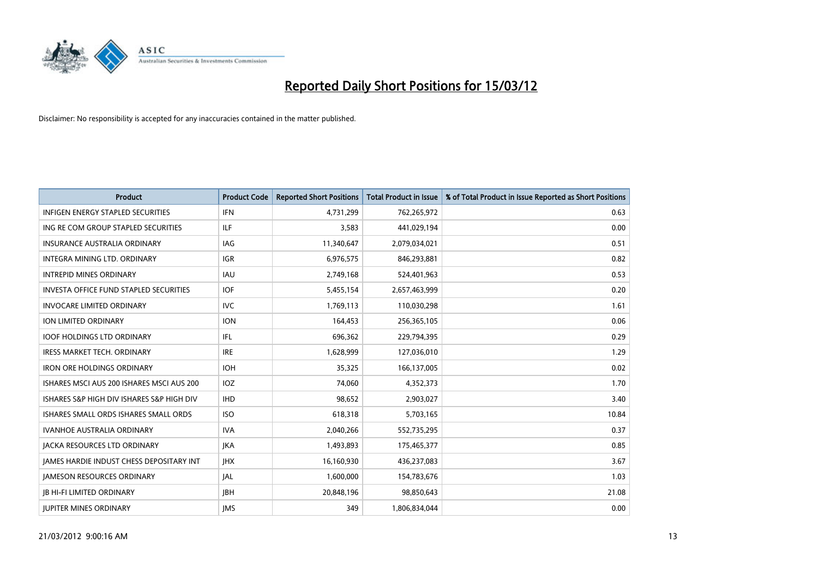

| <b>Product</b>                            | <b>Product Code</b> | <b>Reported Short Positions</b> | <b>Total Product in Issue</b> | % of Total Product in Issue Reported as Short Positions |
|-------------------------------------------|---------------------|---------------------------------|-------------------------------|---------------------------------------------------------|
| <b>INFIGEN ENERGY STAPLED SECURITIES</b>  | <b>IFN</b>          | 4,731,299                       | 762,265,972                   | 0.63                                                    |
| ING RE COM GROUP STAPLED SECURITIES       | ILF                 | 3,583                           | 441,029,194                   | 0.00                                                    |
| <b>INSURANCE AUSTRALIA ORDINARY</b>       | IAG                 | 11,340,647                      | 2,079,034,021                 | 0.51                                                    |
| <b>INTEGRA MINING LTD, ORDINARY</b>       | <b>IGR</b>          | 6,976,575                       | 846,293,881                   | 0.82                                                    |
| <b>INTREPID MINES ORDINARY</b>            | <b>IAU</b>          | 2,749,168                       | 524,401,963                   | 0.53                                                    |
| INVESTA OFFICE FUND STAPLED SECURITIES    | <b>IOF</b>          | 5,455,154                       | 2,657,463,999                 | 0.20                                                    |
| <b>INVOCARE LIMITED ORDINARY</b>          | <b>IVC</b>          | 1,769,113                       | 110,030,298                   | 1.61                                                    |
| ION LIMITED ORDINARY                      | <b>ION</b>          | 164,453                         | 256,365,105                   | 0.06                                                    |
| <b>IOOF HOLDINGS LTD ORDINARY</b>         | IFL                 | 696,362                         | 229,794,395                   | 0.29                                                    |
| <b>IRESS MARKET TECH. ORDINARY</b>        | <b>IRE</b>          | 1,628,999                       | 127,036,010                   | 1.29                                                    |
| <b>IRON ORE HOLDINGS ORDINARY</b>         | <b>IOH</b>          | 35,325                          | 166,137,005                   | 0.02                                                    |
| ISHARES MSCI AUS 200 ISHARES MSCI AUS 200 | IOZ                 | 74,060                          | 4,352,373                     | 1.70                                                    |
| ISHARES S&P HIGH DIV ISHARES S&P HIGH DIV | <b>IHD</b>          | 98,652                          | 2,903,027                     | 3.40                                                    |
| ISHARES SMALL ORDS ISHARES SMALL ORDS     | <b>ISO</b>          | 618,318                         | 5,703,165                     | 10.84                                                   |
| <b>IVANHOE AUSTRALIA ORDINARY</b>         | <b>IVA</b>          | 2,040,266                       | 552,735,295                   | 0.37                                                    |
| <b>JACKA RESOURCES LTD ORDINARY</b>       | <b>JKA</b>          | 1,493,893                       | 175,465,377                   | 0.85                                                    |
| JAMES HARDIE INDUST CHESS DEPOSITARY INT  | <b>IHX</b>          | 16,160,930                      | 436,237,083                   | 3.67                                                    |
| <b>JAMESON RESOURCES ORDINARY</b>         | JAL                 | 1,600,000                       | 154,783,676                   | 1.03                                                    |
| <b>JB HI-FI LIMITED ORDINARY</b>          | <b>JBH</b>          | 20,848,196                      | 98,850,643                    | 21.08                                                   |
| <b>JUPITER MINES ORDINARY</b>             | <b>IMS</b>          | 349                             | 1,806,834,044                 | 0.00                                                    |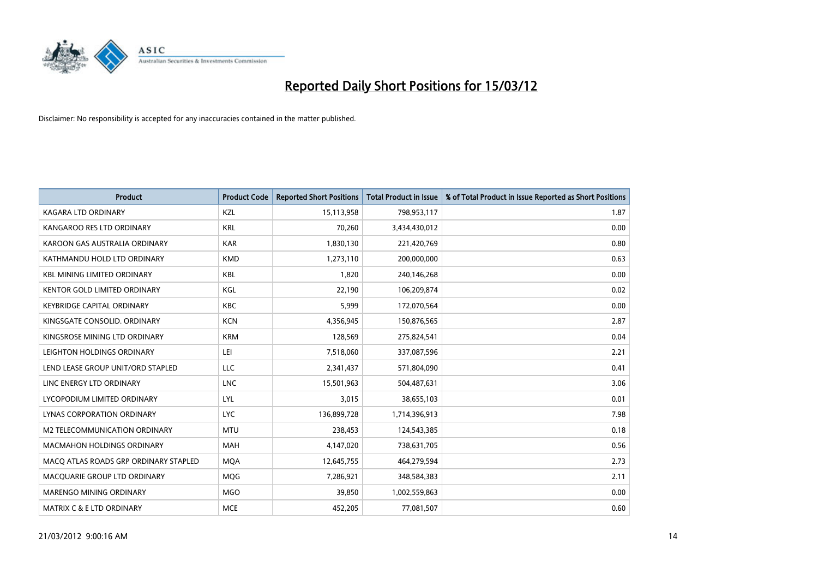

| <b>Product</b>                        | <b>Product Code</b> | <b>Reported Short Positions</b> | <b>Total Product in Issue</b> | % of Total Product in Issue Reported as Short Positions |
|---------------------------------------|---------------------|---------------------------------|-------------------------------|---------------------------------------------------------|
| <b>KAGARA LTD ORDINARY</b>            | <b>KZL</b>          | 15,113,958                      | 798,953,117                   | 1.87                                                    |
| KANGAROO RES LTD ORDINARY             | <b>KRL</b>          | 70,260                          | 3,434,430,012                 | 0.00                                                    |
| KAROON GAS AUSTRALIA ORDINARY         | <b>KAR</b>          | 1,830,130                       | 221,420,769                   | 0.80                                                    |
| KATHMANDU HOLD LTD ORDINARY           | <b>KMD</b>          | 1,273,110                       | 200,000,000                   | 0.63                                                    |
| <b>KBL MINING LIMITED ORDINARY</b>    | <b>KBL</b>          | 1,820                           | 240,146,268                   | 0.00                                                    |
| KENTOR GOLD LIMITED ORDINARY          | KGL                 | 22,190                          | 106,209,874                   | 0.02                                                    |
| <b>KEYBRIDGE CAPITAL ORDINARY</b>     | <b>KBC</b>          | 5,999                           | 172,070,564                   | 0.00                                                    |
| KINGSGATE CONSOLID. ORDINARY          | <b>KCN</b>          | 4,356,945                       | 150,876,565                   | 2.87                                                    |
| KINGSROSE MINING LTD ORDINARY         | <b>KRM</b>          | 128,569                         | 275,824,541                   | 0.04                                                    |
| LEIGHTON HOLDINGS ORDINARY            | LEI                 | 7,518,060                       | 337,087,596                   | 2.21                                                    |
| LEND LEASE GROUP UNIT/ORD STAPLED     | LLC                 | 2,341,437                       | 571,804,090                   | 0.41                                                    |
| LINC ENERGY LTD ORDINARY              | <b>LNC</b>          | 15,501,963                      | 504,487,631                   | 3.06                                                    |
| LYCOPODIUM LIMITED ORDINARY           | LYL                 | 3,015                           | 38,655,103                    | 0.01                                                    |
| LYNAS CORPORATION ORDINARY            | <b>LYC</b>          | 136,899,728                     | 1,714,396,913                 | 7.98                                                    |
| M2 TELECOMMUNICATION ORDINARY         | <b>MTU</b>          | 238,453                         | 124,543,385                   | 0.18                                                    |
| MACMAHON HOLDINGS ORDINARY            | <b>MAH</b>          | 4,147,020                       | 738,631,705                   | 0.56                                                    |
| MACO ATLAS ROADS GRP ORDINARY STAPLED | <b>MQA</b>          | 12,645,755                      | 464,279,594                   | 2.73                                                    |
| MACQUARIE GROUP LTD ORDINARY          | <b>MQG</b>          | 7,286,921                       | 348,584,383                   | 2.11                                                    |
| MARENGO MINING ORDINARY               | <b>MGO</b>          | 39,850                          | 1,002,559,863                 | 0.00                                                    |
| MATRIX C & E LTD ORDINARY             | <b>MCE</b>          | 452,205                         | 77,081,507                    | 0.60                                                    |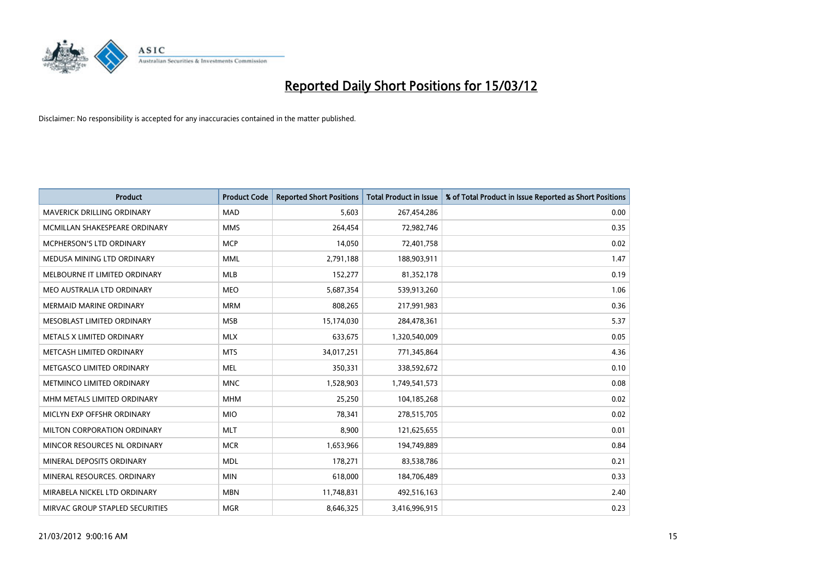

| <b>Product</b>                    | <b>Product Code</b> | <b>Reported Short Positions</b> | <b>Total Product in Issue</b> | % of Total Product in Issue Reported as Short Positions |
|-----------------------------------|---------------------|---------------------------------|-------------------------------|---------------------------------------------------------|
| <b>MAVERICK DRILLING ORDINARY</b> | <b>MAD</b>          | 5,603                           | 267,454,286                   | 0.00                                                    |
| MCMILLAN SHAKESPEARE ORDINARY     | <b>MMS</b>          | 264,454                         | 72,982,746                    | 0.35                                                    |
| MCPHERSON'S LTD ORDINARY          | <b>MCP</b>          | 14,050                          | 72,401,758                    | 0.02                                                    |
| MEDUSA MINING LTD ORDINARY        | <b>MML</b>          | 2,791,188                       | 188,903,911                   | 1.47                                                    |
| MELBOURNE IT LIMITED ORDINARY     | <b>MLB</b>          | 152,277                         | 81,352,178                    | 0.19                                                    |
| MEO AUSTRALIA LTD ORDINARY        | <b>MEO</b>          | 5,687,354                       | 539,913,260                   | 1.06                                                    |
| <b>MERMAID MARINE ORDINARY</b>    | <b>MRM</b>          | 808,265                         | 217,991,983                   | 0.36                                                    |
| MESOBLAST LIMITED ORDINARY        | <b>MSB</b>          | 15,174,030                      | 284,478,361                   | 5.37                                                    |
| METALS X LIMITED ORDINARY         | <b>MLX</b>          | 633,675                         | 1,320,540,009                 | 0.05                                                    |
| METCASH LIMITED ORDINARY          | <b>MTS</b>          | 34,017,251                      | 771,345,864                   | 4.36                                                    |
| METGASCO LIMITED ORDINARY         | <b>MEL</b>          | 350,331                         | 338,592,672                   | 0.10                                                    |
| METMINCO LIMITED ORDINARY         | <b>MNC</b>          | 1,528,903                       | 1,749,541,573                 | 0.08                                                    |
| MHM METALS LIMITED ORDINARY       | <b>MHM</b>          | 25,250                          | 104,185,268                   | 0.02                                                    |
| MICLYN EXP OFFSHR ORDINARY        | <b>MIO</b>          | 78,341                          | 278,515,705                   | 0.02                                                    |
| MILTON CORPORATION ORDINARY       | <b>MLT</b>          | 8,900                           | 121,625,655                   | 0.01                                                    |
| MINCOR RESOURCES NL ORDINARY      | <b>MCR</b>          | 1,653,966                       | 194,749,889                   | 0.84                                                    |
| MINERAL DEPOSITS ORDINARY         | <b>MDL</b>          | 178,271                         | 83,538,786                    | 0.21                                                    |
| MINERAL RESOURCES. ORDINARY       | <b>MIN</b>          | 618,000                         | 184,706,489                   | 0.33                                                    |
| MIRABELA NICKEL LTD ORDINARY      | <b>MBN</b>          | 11,748,831                      | 492,516,163                   | 2.40                                                    |
| MIRVAC GROUP STAPLED SECURITIES   | <b>MGR</b>          | 8,646,325                       | 3,416,996,915                 | 0.23                                                    |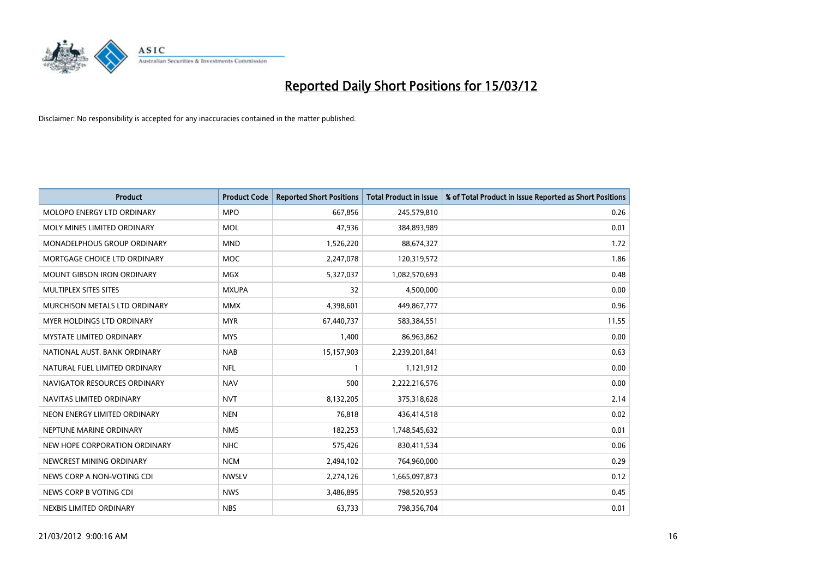

| <b>Product</b>                     | <b>Product Code</b> | <b>Reported Short Positions</b> | <b>Total Product in Issue</b> | % of Total Product in Issue Reported as Short Positions |
|------------------------------------|---------------------|---------------------------------|-------------------------------|---------------------------------------------------------|
| MOLOPO ENERGY LTD ORDINARY         | <b>MPO</b>          | 667,856                         | 245,579,810                   | 0.26                                                    |
| MOLY MINES LIMITED ORDINARY        | <b>MOL</b>          | 47,936                          | 384,893,989                   | 0.01                                                    |
| <b>MONADELPHOUS GROUP ORDINARY</b> | <b>MND</b>          | 1,526,220                       | 88,674,327                    | 1.72                                                    |
| MORTGAGE CHOICE LTD ORDINARY       | <b>MOC</b>          | 2,247,078                       | 120,319,572                   | 1.86                                                    |
| <b>MOUNT GIBSON IRON ORDINARY</b>  | MGX                 | 5,327,037                       | 1,082,570,693                 | 0.48                                                    |
| MULTIPLEX SITES SITES              | <b>MXUPA</b>        | 32                              | 4,500,000                     | 0.00                                                    |
| MURCHISON METALS LTD ORDINARY      | <b>MMX</b>          | 4,398,601                       | 449,867,777                   | 0.96                                                    |
| <b>MYER HOLDINGS LTD ORDINARY</b>  | <b>MYR</b>          | 67,440,737                      | 583,384,551                   | 11.55                                                   |
| <b>MYSTATE LIMITED ORDINARY</b>    | <b>MYS</b>          | 1,400                           | 86,963,862                    | 0.00                                                    |
| NATIONAL AUST, BANK ORDINARY       | <b>NAB</b>          | 15,157,903                      | 2,239,201,841                 | 0.63                                                    |
| NATURAL FUEL LIMITED ORDINARY      | <b>NFL</b>          |                                 | 1,121,912                     | 0.00                                                    |
| NAVIGATOR RESOURCES ORDINARY       | <b>NAV</b>          | 500                             | 2,222,216,576                 | 0.00                                                    |
| NAVITAS LIMITED ORDINARY           | <b>NVT</b>          | 8,132,205                       | 375,318,628                   | 2.14                                                    |
| NEON ENERGY LIMITED ORDINARY       | <b>NEN</b>          | 76,818                          | 436,414,518                   | 0.02                                                    |
| NEPTUNE MARINE ORDINARY            | <b>NMS</b>          | 182,253                         | 1,748,545,632                 | 0.01                                                    |
| NEW HOPE CORPORATION ORDINARY      | NHC                 | 575,426                         | 830,411,534                   | 0.06                                                    |
| NEWCREST MINING ORDINARY           | <b>NCM</b>          | 2,494,102                       | 764,960,000                   | 0.29                                                    |
| NEWS CORP A NON-VOTING CDI         | <b>NWSLV</b>        | 2,274,126                       | 1,665,097,873                 | 0.12                                                    |
| NEWS CORP B VOTING CDI             | <b>NWS</b>          | 3,486,895                       | 798,520,953                   | 0.45                                                    |
| NEXBIS LIMITED ORDINARY            | <b>NBS</b>          | 63,733                          | 798,356,704                   | 0.01                                                    |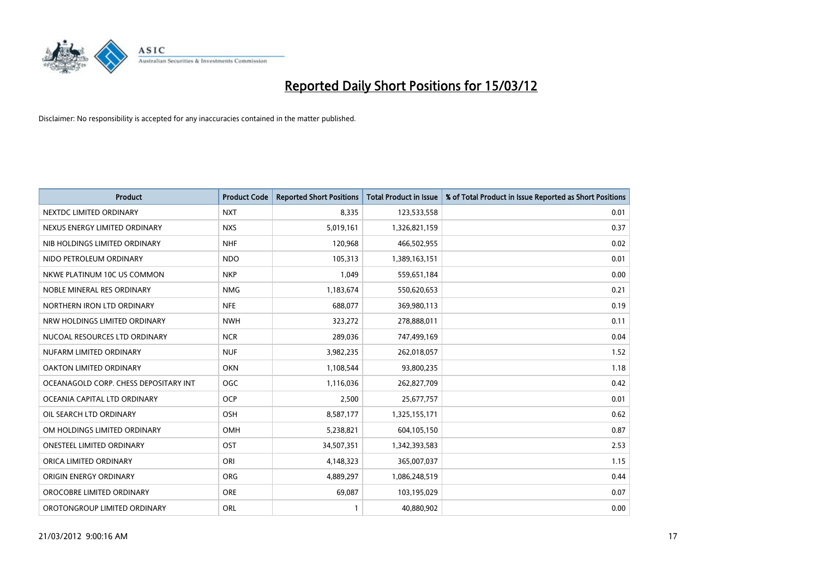

| <b>Product</b>                        | <b>Product Code</b> | <b>Reported Short Positions</b> | <b>Total Product in Issue</b> | % of Total Product in Issue Reported as Short Positions |
|---------------------------------------|---------------------|---------------------------------|-------------------------------|---------------------------------------------------------|
| NEXTDC LIMITED ORDINARY               | <b>NXT</b>          | 8,335                           | 123,533,558                   | 0.01                                                    |
| NEXUS ENERGY LIMITED ORDINARY         | <b>NXS</b>          | 5,019,161                       | 1,326,821,159                 | 0.37                                                    |
| NIB HOLDINGS LIMITED ORDINARY         | <b>NHF</b>          | 120,968                         | 466,502,955                   | 0.02                                                    |
| NIDO PETROLEUM ORDINARY               | <b>NDO</b>          | 105,313                         | 1,389,163,151                 | 0.01                                                    |
| NKWE PLATINUM 10C US COMMON           | <b>NKP</b>          | 1,049                           | 559,651,184                   | 0.00                                                    |
| NOBLE MINERAL RES ORDINARY            | <b>NMG</b>          | 1,183,674                       | 550,620,653                   | 0.21                                                    |
| NORTHERN IRON LTD ORDINARY            | <b>NFE</b>          | 688,077                         | 369,980,113                   | 0.19                                                    |
| NRW HOLDINGS LIMITED ORDINARY         | <b>NWH</b>          | 323,272                         | 278,888,011                   | 0.11                                                    |
| NUCOAL RESOURCES LTD ORDINARY         | <b>NCR</b>          | 289,036                         | 747,499,169                   | 0.04                                                    |
| NUFARM LIMITED ORDINARY               | <b>NUF</b>          | 3,982,235                       | 262,018,057                   | 1.52                                                    |
| OAKTON LIMITED ORDINARY               | <b>OKN</b>          | 1,108,544                       | 93,800,235                    | 1.18                                                    |
| OCEANAGOLD CORP. CHESS DEPOSITARY INT | <b>OGC</b>          | 1,116,036                       | 262,827,709                   | 0.42                                                    |
| OCEANIA CAPITAL LTD ORDINARY          | <b>OCP</b>          | 2,500                           | 25,677,757                    | 0.01                                                    |
| OIL SEARCH LTD ORDINARY               | OSH                 | 8,587,177                       | 1,325,155,171                 | 0.62                                                    |
| OM HOLDINGS LIMITED ORDINARY          | <b>OMH</b>          | 5,238,821                       | 604,105,150                   | 0.87                                                    |
| <b>ONESTEEL LIMITED ORDINARY</b>      | OST                 | 34,507,351                      | 1,342,393,583                 | 2.53                                                    |
| ORICA LIMITED ORDINARY                | ORI                 | 4,148,323                       | 365,007,037                   | 1.15                                                    |
| ORIGIN ENERGY ORDINARY                | <b>ORG</b>          | 4,889,297                       | 1,086,248,519                 | 0.44                                                    |
| OROCOBRE LIMITED ORDINARY             | <b>ORE</b>          | 69,087                          | 103,195,029                   | 0.07                                                    |
| OROTONGROUP LIMITED ORDINARY          | ORL                 |                                 | 40,880,902                    | 0.00                                                    |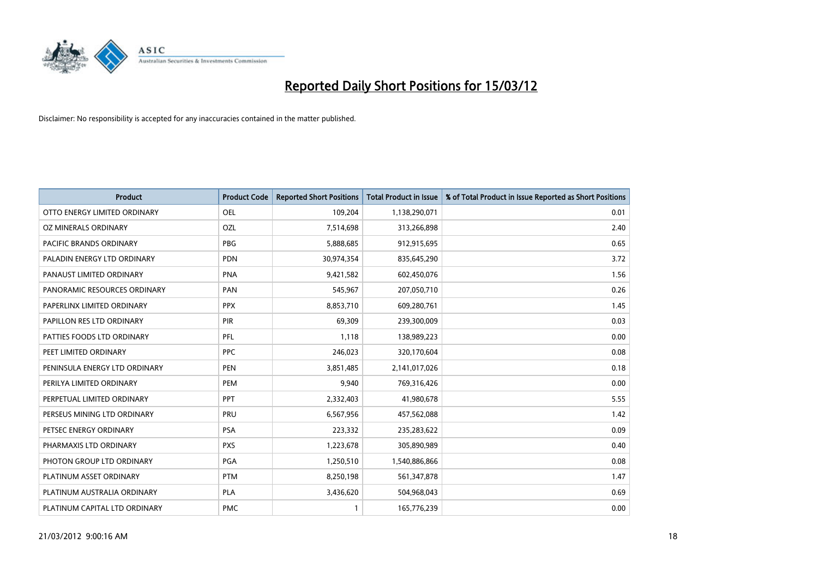

| <b>Product</b>                | <b>Product Code</b> | <b>Reported Short Positions</b> | <b>Total Product in Issue</b> | % of Total Product in Issue Reported as Short Positions |
|-------------------------------|---------------------|---------------------------------|-------------------------------|---------------------------------------------------------|
| OTTO ENERGY LIMITED ORDINARY  | <b>OEL</b>          | 109,204                         | 1,138,290,071                 | 0.01                                                    |
| OZ MINERALS ORDINARY          | OZL                 | 7,514,698                       | 313,266,898                   | 2.40                                                    |
| PACIFIC BRANDS ORDINARY       | <b>PBG</b>          | 5,888,685                       | 912,915,695                   | 0.65                                                    |
| PALADIN ENERGY LTD ORDINARY   | <b>PDN</b>          | 30,974,354                      | 835,645,290                   | 3.72                                                    |
| PANAUST LIMITED ORDINARY      | <b>PNA</b>          | 9,421,582                       | 602,450,076                   | 1.56                                                    |
| PANORAMIC RESOURCES ORDINARY  | PAN                 | 545,967                         | 207,050,710                   | 0.26                                                    |
| PAPERLINX LIMITED ORDINARY    | <b>PPX</b>          | 8,853,710                       | 609,280,761                   | 1.45                                                    |
| PAPILLON RES LTD ORDINARY     | PIR                 | 69,309                          | 239,300,009                   | 0.03                                                    |
| PATTIES FOODS LTD ORDINARY    | PFL                 | 1,118                           | 138,989,223                   | 0.00                                                    |
| PEET LIMITED ORDINARY         | <b>PPC</b>          | 246,023                         | 320,170,604                   | 0.08                                                    |
| PENINSULA ENERGY LTD ORDINARY | <b>PEN</b>          | 3,851,485                       | 2,141,017,026                 | 0.18                                                    |
| PERILYA LIMITED ORDINARY      | PEM                 | 9,940                           | 769,316,426                   | 0.00                                                    |
| PERPETUAL LIMITED ORDINARY    | PPT                 | 2,332,403                       | 41,980,678                    | 5.55                                                    |
| PERSEUS MINING LTD ORDINARY   | PRU                 | 6,567,956                       | 457,562,088                   | 1.42                                                    |
| PETSEC ENERGY ORDINARY        | <b>PSA</b>          | 223,332                         | 235,283,622                   | 0.09                                                    |
| PHARMAXIS LTD ORDINARY        | <b>PXS</b>          | 1,223,678                       | 305,890,989                   | 0.40                                                    |
| PHOTON GROUP LTD ORDINARY     | PGA                 | 1,250,510                       | 1,540,886,866                 | 0.08                                                    |
| PLATINUM ASSET ORDINARY       | <b>PTM</b>          | 8,250,198                       | 561,347,878                   | 1.47                                                    |
| PLATINUM AUSTRALIA ORDINARY   | <b>PLA</b>          | 3,436,620                       | 504,968,043                   | 0.69                                                    |
| PLATINUM CAPITAL LTD ORDINARY | <b>PMC</b>          |                                 | 165,776,239                   | 0.00                                                    |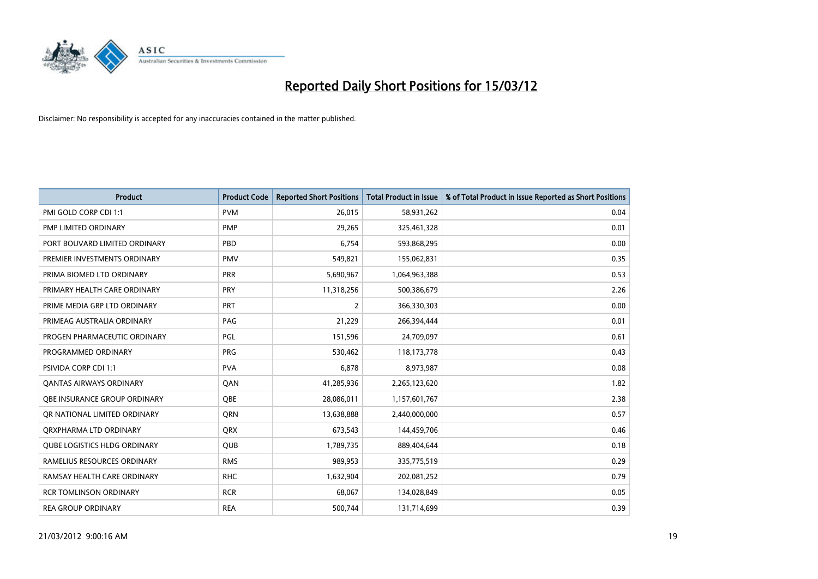

| <b>Product</b>                      | <b>Product Code</b> | <b>Reported Short Positions</b> | <b>Total Product in Issue</b> | % of Total Product in Issue Reported as Short Positions |
|-------------------------------------|---------------------|---------------------------------|-------------------------------|---------------------------------------------------------|
| PMI GOLD CORP CDI 1:1               | <b>PVM</b>          | 26,015                          | 58,931,262                    | 0.04                                                    |
| PMP LIMITED ORDINARY                | <b>PMP</b>          | 29,265                          | 325,461,328                   | 0.01                                                    |
| PORT BOUVARD LIMITED ORDINARY       | PBD                 | 6,754                           | 593,868,295                   | 0.00                                                    |
| PREMIER INVESTMENTS ORDINARY        | <b>PMV</b>          | 549,821                         | 155,062,831                   | 0.35                                                    |
| PRIMA BIOMED LTD ORDINARY           | <b>PRR</b>          | 5,690,967                       | 1,064,963,388                 | 0.53                                                    |
| PRIMARY HEALTH CARE ORDINARY        | <b>PRY</b>          | 11,318,256                      | 500,386,679                   | 2.26                                                    |
| PRIME MEDIA GRP LTD ORDINARY        | <b>PRT</b>          | 2                               | 366,330,303                   | 0.00                                                    |
| PRIMEAG AUSTRALIA ORDINARY          | PAG                 | 21,229                          | 266,394,444                   | 0.01                                                    |
| PROGEN PHARMACEUTIC ORDINARY        | PGL                 | 151,596                         | 24,709,097                    | 0.61                                                    |
| PROGRAMMED ORDINARY                 | <b>PRG</b>          | 530,462                         | 118, 173, 778                 | 0.43                                                    |
| PSIVIDA CORP CDI 1:1                | <b>PVA</b>          | 6,878                           | 8,973,987                     | 0.08                                                    |
| OANTAS AIRWAYS ORDINARY             | QAN                 | 41,285,936                      | 2,265,123,620                 | 1.82                                                    |
| OBE INSURANCE GROUP ORDINARY        | <b>OBE</b>          | 28,086,011                      | 1,157,601,767                 | 2.38                                                    |
| OR NATIONAL LIMITED ORDINARY        | <b>ORN</b>          | 13,638,888                      | 2,440,000,000                 | 0.57                                                    |
| ORXPHARMA LTD ORDINARY              | QRX                 | 673,543                         | 144,459,706                   | 0.46                                                    |
| <b>QUBE LOGISTICS HLDG ORDINARY</b> | <b>QUB</b>          | 1,789,735                       | 889,404,644                   | 0.18                                                    |
| RAMELIUS RESOURCES ORDINARY         | <b>RMS</b>          | 989,953                         | 335,775,519                   | 0.29                                                    |
| RAMSAY HEALTH CARE ORDINARY         | <b>RHC</b>          | 1,632,904                       | 202,081,252                   | 0.79                                                    |
| <b>RCR TOMLINSON ORDINARY</b>       | <b>RCR</b>          | 68,067                          | 134,028,849                   | 0.05                                                    |
| <b>REA GROUP ORDINARY</b>           | <b>REA</b>          | 500,744                         | 131,714,699                   | 0.39                                                    |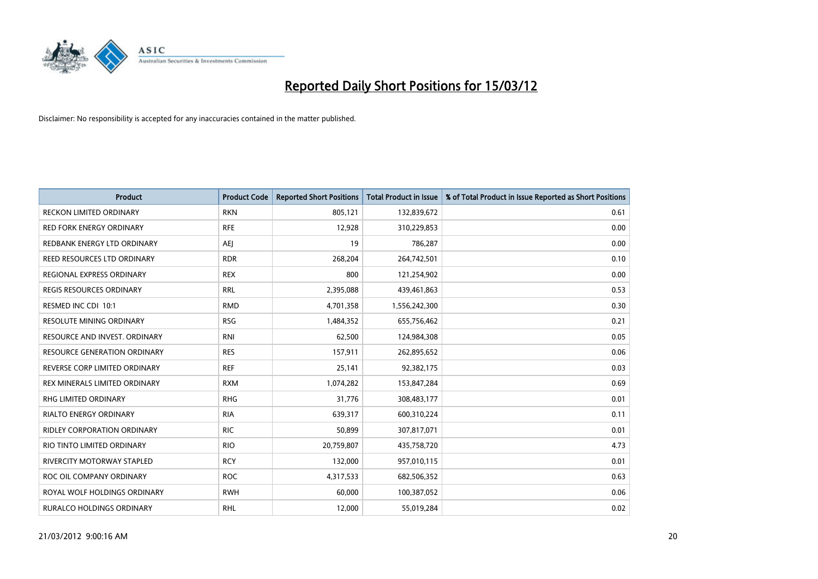

| Product                             | <b>Product Code</b> | <b>Reported Short Positions</b> | <b>Total Product in Issue</b> | % of Total Product in Issue Reported as Short Positions |
|-------------------------------------|---------------------|---------------------------------|-------------------------------|---------------------------------------------------------|
| <b>RECKON LIMITED ORDINARY</b>      | <b>RKN</b>          | 805,121                         | 132,839,672                   | 0.61                                                    |
| <b>RED FORK ENERGY ORDINARY</b>     | <b>RFE</b>          | 12,928                          | 310,229,853                   | 0.00                                                    |
| REDBANK ENERGY LTD ORDINARY         | <b>AEI</b>          | 19                              | 786,287                       | 0.00                                                    |
| REED RESOURCES LTD ORDINARY         | <b>RDR</b>          | 268,204                         | 264,742,501                   | 0.10                                                    |
| REGIONAL EXPRESS ORDINARY           | <b>REX</b>          | 800                             | 121,254,902                   | 0.00                                                    |
| <b>REGIS RESOURCES ORDINARY</b>     | <b>RRL</b>          | 2,395,088                       | 439,461,863                   | 0.53                                                    |
| RESMED INC CDI 10:1                 | <b>RMD</b>          | 4,701,358                       | 1,556,242,300                 | 0.30                                                    |
| RESOLUTE MINING ORDINARY            | <b>RSG</b>          | 1,484,352                       | 655,756,462                   | 0.21                                                    |
| RESOURCE AND INVEST. ORDINARY       | <b>RNI</b>          | 62,500                          | 124,984,308                   | 0.05                                                    |
| <b>RESOURCE GENERATION ORDINARY</b> | <b>RES</b>          | 157,911                         | 262,895,652                   | 0.06                                                    |
| REVERSE CORP LIMITED ORDINARY       | <b>REF</b>          | 25,141                          | 92,382,175                    | 0.03                                                    |
| REX MINERALS LIMITED ORDINARY       | <b>RXM</b>          | 1,074,282                       | 153,847,284                   | 0.69                                                    |
| <b>RHG LIMITED ORDINARY</b>         | <b>RHG</b>          | 31,776                          | 308,483,177                   | 0.01                                                    |
| <b>RIALTO ENERGY ORDINARY</b>       | <b>RIA</b>          | 639,317                         | 600,310,224                   | 0.11                                                    |
| RIDLEY CORPORATION ORDINARY         | <b>RIC</b>          | 50,899                          | 307,817,071                   | 0.01                                                    |
| RIO TINTO LIMITED ORDINARY          | <b>RIO</b>          | 20,759,807                      | 435,758,720                   | 4.73                                                    |
| RIVERCITY MOTORWAY STAPLED          | <b>RCY</b>          | 132,000                         | 957,010,115                   | 0.01                                                    |
| ROC OIL COMPANY ORDINARY            | <b>ROC</b>          | 4,317,533                       | 682,506,352                   | 0.63                                                    |
| ROYAL WOLF HOLDINGS ORDINARY        | <b>RWH</b>          | 60,000                          | 100,387,052                   | 0.06                                                    |
| <b>RURALCO HOLDINGS ORDINARY</b>    | <b>RHL</b>          | 12,000                          | 55,019,284                    | 0.02                                                    |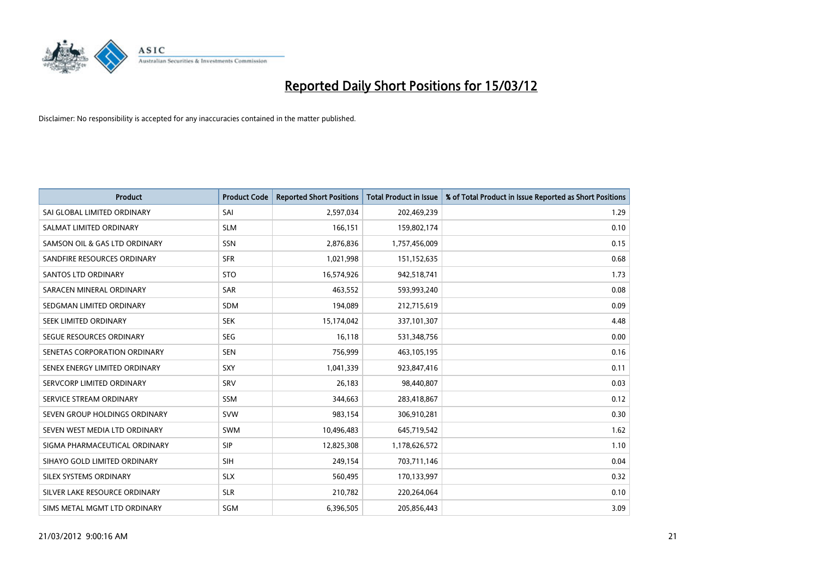

| <b>Product</b>                | <b>Product Code</b> | <b>Reported Short Positions</b> | <b>Total Product in Issue</b> | % of Total Product in Issue Reported as Short Positions |
|-------------------------------|---------------------|---------------------------------|-------------------------------|---------------------------------------------------------|
| SAI GLOBAL LIMITED ORDINARY   | SAI                 | 2,597,034                       | 202,469,239                   | 1.29                                                    |
| SALMAT LIMITED ORDINARY       | <b>SLM</b>          | 166,151                         | 159,802,174                   | 0.10                                                    |
| SAMSON OIL & GAS LTD ORDINARY | SSN                 | 2,876,836                       | 1,757,456,009                 | 0.15                                                    |
| SANDFIRE RESOURCES ORDINARY   | <b>SFR</b>          | 1,021,998                       | 151,152,635                   | 0.68                                                    |
| SANTOS LTD ORDINARY           | <b>STO</b>          | 16,574,926                      | 942,518,741                   | 1.73                                                    |
| SARACEN MINERAL ORDINARY      | <b>SAR</b>          | 463,552                         | 593,993,240                   | 0.08                                                    |
| SEDGMAN LIMITED ORDINARY      | <b>SDM</b>          | 194,089                         | 212,715,619                   | 0.09                                                    |
| SEEK LIMITED ORDINARY         | <b>SEK</b>          | 15,174,042                      | 337,101,307                   | 4.48                                                    |
| SEGUE RESOURCES ORDINARY      | <b>SEG</b>          | 16.118                          | 531,348,756                   | 0.00                                                    |
| SENETAS CORPORATION ORDINARY  | <b>SEN</b>          | 756,999                         | 463,105,195                   | 0.16                                                    |
| SENEX ENERGY LIMITED ORDINARY | SXY                 | 1,041,339                       | 923,847,416                   | 0.11                                                    |
| SERVCORP LIMITED ORDINARY     | SRV                 | 26,183                          | 98,440,807                    | 0.03                                                    |
| SERVICE STREAM ORDINARY       | SSM                 | 344,663                         | 283,418,867                   | 0.12                                                    |
| SEVEN GROUP HOLDINGS ORDINARY | <b>SVW</b>          | 983,154                         | 306,910,281                   | 0.30                                                    |
| SEVEN WEST MEDIA LTD ORDINARY | <b>SWM</b>          | 10,496,483                      | 645,719,542                   | 1.62                                                    |
| SIGMA PHARMACEUTICAL ORDINARY | <b>SIP</b>          | 12,825,308                      | 1,178,626,572                 | 1.10                                                    |
| SIHAYO GOLD LIMITED ORDINARY  | SIH                 | 249,154                         | 703,711,146                   | 0.04                                                    |
| SILEX SYSTEMS ORDINARY        | <b>SLX</b>          | 560,495                         | 170,133,997                   | 0.32                                                    |
| SILVER LAKE RESOURCE ORDINARY | <b>SLR</b>          | 210,782                         | 220,264,064                   | 0.10                                                    |
| SIMS METAL MGMT LTD ORDINARY  | SGM                 | 6,396,505                       | 205,856,443                   | 3.09                                                    |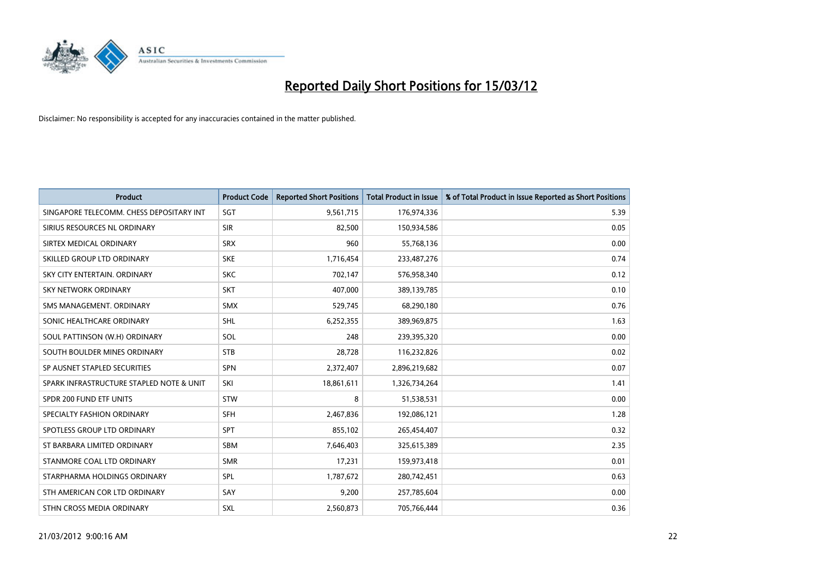

| <b>Product</b>                           | <b>Product Code</b> | <b>Reported Short Positions</b> | <b>Total Product in Issue</b> | % of Total Product in Issue Reported as Short Positions |
|------------------------------------------|---------------------|---------------------------------|-------------------------------|---------------------------------------------------------|
| SINGAPORE TELECOMM. CHESS DEPOSITARY INT | SGT                 | 9,561,715                       | 176,974,336                   | 5.39                                                    |
| SIRIUS RESOURCES NL ORDINARY             | <b>SIR</b>          | 82,500                          | 150,934,586                   | 0.05                                                    |
| SIRTEX MEDICAL ORDINARY                  | <b>SRX</b>          | 960                             | 55,768,136                    | 0.00                                                    |
| SKILLED GROUP LTD ORDINARY               | <b>SKE</b>          | 1,716,454                       | 233,487,276                   | 0.74                                                    |
| SKY CITY ENTERTAIN, ORDINARY             | <b>SKC</b>          | 702,147                         | 576,958,340                   | 0.12                                                    |
| <b>SKY NETWORK ORDINARY</b>              | <b>SKT</b>          | 407,000                         | 389,139,785                   | 0.10                                                    |
| SMS MANAGEMENT, ORDINARY                 | <b>SMX</b>          | 529,745                         | 68,290,180                    | 0.76                                                    |
| SONIC HEALTHCARE ORDINARY                | <b>SHL</b>          | 6,252,355                       | 389,969,875                   | 1.63                                                    |
| SOUL PATTINSON (W.H) ORDINARY            | SOL                 | 248                             | 239,395,320                   | 0.00                                                    |
| SOUTH BOULDER MINES ORDINARY             | <b>STB</b>          | 28,728                          | 116,232,826                   | 0.02                                                    |
| SP AUSNET STAPLED SECURITIES             | SPN                 | 2,372,407                       | 2,896,219,682                 | 0.07                                                    |
| SPARK INFRASTRUCTURE STAPLED NOTE & UNIT | SKI                 | 18,861,611                      | 1,326,734,264                 | 1.41                                                    |
| SPDR 200 FUND ETF UNITS                  | <b>STW</b>          | 8                               | 51,538,531                    | 0.00                                                    |
| SPECIALTY FASHION ORDINARY               | <b>SFH</b>          | 2,467,836                       | 192,086,121                   | 1.28                                                    |
| SPOTLESS GROUP LTD ORDINARY              | <b>SPT</b>          | 855,102                         | 265,454,407                   | 0.32                                                    |
| ST BARBARA LIMITED ORDINARY              | SBM                 | 7,646,403                       | 325,615,389                   | 2.35                                                    |
| STANMORE COAL LTD ORDINARY               | <b>SMR</b>          | 17,231                          | 159,973,418                   | 0.01                                                    |
| STARPHARMA HOLDINGS ORDINARY             | SPL                 | 1,787,672                       | 280,742,451                   | 0.63                                                    |
| STH AMERICAN COR LTD ORDINARY            | SAY                 | 9,200                           | 257,785,604                   | 0.00                                                    |
| STHN CROSS MEDIA ORDINARY                | <b>SXL</b>          | 2,560,873                       | 705,766,444                   | 0.36                                                    |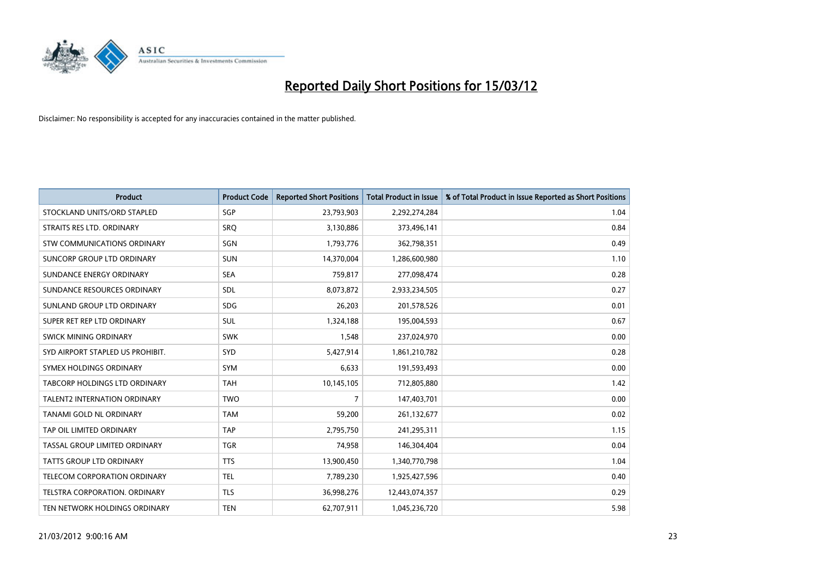

| <b>Product</b>                       | <b>Product Code</b> | <b>Reported Short Positions</b> | <b>Total Product in Issue</b> | % of Total Product in Issue Reported as Short Positions |
|--------------------------------------|---------------------|---------------------------------|-------------------------------|---------------------------------------------------------|
| STOCKLAND UNITS/ORD STAPLED          | SGP                 | 23,793,903                      | 2,292,274,284                 | 1.04                                                    |
| STRAITS RES LTD. ORDINARY            | <b>SRQ</b>          | 3,130,886                       | 373,496,141                   | 0.84                                                    |
| STW COMMUNICATIONS ORDINARY          | SGN                 | 1,793,776                       | 362,798,351                   | 0.49                                                    |
| SUNCORP GROUP LTD ORDINARY           | <b>SUN</b>          | 14,370,004                      | 1,286,600,980                 | 1.10                                                    |
| SUNDANCE ENERGY ORDINARY             | <b>SEA</b>          | 759,817                         | 277,098,474                   | 0.28                                                    |
| SUNDANCE RESOURCES ORDINARY          | SDL                 | 8,073,872                       | 2,933,234,505                 | 0.27                                                    |
| SUNLAND GROUP LTD ORDINARY           | <b>SDG</b>          | 26,203                          | 201,578,526                   | 0.01                                                    |
| SUPER RET REP LTD ORDINARY           | SUL                 | 1,324,188                       | 195,004,593                   | 0.67                                                    |
| SWICK MINING ORDINARY                | <b>SWK</b>          | 1,548                           | 237,024,970                   | 0.00                                                    |
| SYD AIRPORT STAPLED US PROHIBIT.     | <b>SYD</b>          | 5,427,914                       | 1,861,210,782                 | 0.28                                                    |
| SYMEX HOLDINGS ORDINARY              | <b>SYM</b>          | 6,633                           | 191,593,493                   | 0.00                                                    |
| <b>TABCORP HOLDINGS LTD ORDINARY</b> | <b>TAH</b>          | 10,145,105                      | 712,805,880                   | 1.42                                                    |
| <b>TALENT2 INTERNATION ORDINARY</b>  | <b>TWO</b>          | 7                               | 147,403,701                   | 0.00                                                    |
| TANAMI GOLD NL ORDINARY              | <b>TAM</b>          | 59,200                          | 261,132,677                   | 0.02                                                    |
| TAP OIL LIMITED ORDINARY             | <b>TAP</b>          | 2,795,750                       | 241,295,311                   | 1.15                                                    |
| TASSAL GROUP LIMITED ORDINARY        | <b>TGR</b>          | 74,958                          | 146,304,404                   | 0.04                                                    |
| TATTS GROUP LTD ORDINARY             | <b>TTS</b>          | 13,900,450                      | 1,340,770,798                 | 1.04                                                    |
| TELECOM CORPORATION ORDINARY         | <b>TEL</b>          | 7,789,230                       | 1,925,427,596                 | 0.40                                                    |
| TELSTRA CORPORATION, ORDINARY        | <b>TLS</b>          | 36,998,276                      | 12,443,074,357                | 0.29                                                    |
| TEN NETWORK HOLDINGS ORDINARY        | <b>TEN</b>          | 62,707,911                      | 1,045,236,720                 | 5.98                                                    |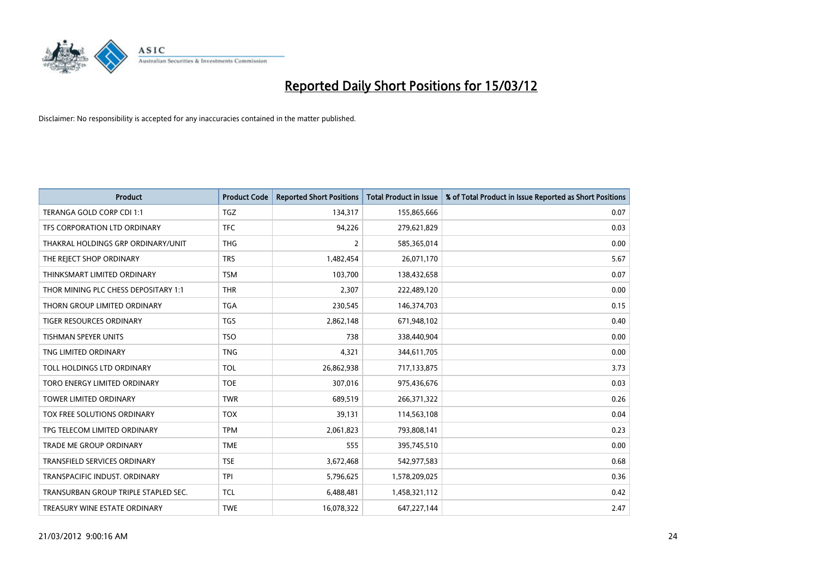

| <b>Product</b>                       | <b>Product Code</b> | <b>Reported Short Positions</b> | <b>Total Product in Issue</b> | % of Total Product in Issue Reported as Short Positions |
|--------------------------------------|---------------------|---------------------------------|-------------------------------|---------------------------------------------------------|
| TERANGA GOLD CORP CDI 1:1            | <b>TGZ</b>          | 134,317                         | 155,865,666                   | 0.07                                                    |
| TFS CORPORATION LTD ORDINARY         | <b>TFC</b>          | 94,226                          | 279,621,829                   | 0.03                                                    |
| THAKRAL HOLDINGS GRP ORDINARY/UNIT   | <b>THG</b>          | $\overline{2}$                  | 585,365,014                   | 0.00                                                    |
| THE REJECT SHOP ORDINARY             | <b>TRS</b>          | 1,482,454                       | 26,071,170                    | 5.67                                                    |
| THINKSMART LIMITED ORDINARY          | <b>TSM</b>          | 103,700                         | 138,432,658                   | 0.07                                                    |
| THOR MINING PLC CHESS DEPOSITARY 1:1 | <b>THR</b>          | 2,307                           | 222,489,120                   | 0.00                                                    |
| THORN GROUP LIMITED ORDINARY         | <b>TGA</b>          | 230,545                         | 146,374,703                   | 0.15                                                    |
| TIGER RESOURCES ORDINARY             | TGS                 | 2,862,148                       | 671,948,102                   | 0.40                                                    |
| <b>TISHMAN SPEYER UNITS</b>          | <b>TSO</b>          | 738                             | 338,440,904                   | 0.00                                                    |
| TNG LIMITED ORDINARY                 | <b>TNG</b>          | 4,321                           | 344,611,705                   | 0.00                                                    |
| TOLL HOLDINGS LTD ORDINARY           | <b>TOL</b>          | 26,862,938                      | 717,133,875                   | 3.73                                                    |
| TORO ENERGY LIMITED ORDINARY         | <b>TOE</b>          | 307,016                         | 975,436,676                   | 0.03                                                    |
| TOWER LIMITED ORDINARY               | <b>TWR</b>          | 689,519                         | 266,371,322                   | 0.26                                                    |
| <b>TOX FREE SOLUTIONS ORDINARY</b>   | <b>TOX</b>          | 39,131                          | 114,563,108                   | 0.04                                                    |
| TPG TELECOM LIMITED ORDINARY         | <b>TPM</b>          | 2,061,823                       | 793,808,141                   | 0.23                                                    |
| TRADE ME GROUP ORDINARY              | <b>TME</b>          | 555                             | 395,745,510                   | 0.00                                                    |
| TRANSFIELD SERVICES ORDINARY         | <b>TSE</b>          | 3,672,468                       | 542,977,583                   | 0.68                                                    |
| TRANSPACIFIC INDUST. ORDINARY        | <b>TPI</b>          | 5,796,625                       | 1,578,209,025                 | 0.36                                                    |
| TRANSURBAN GROUP TRIPLE STAPLED SEC. | TCL                 | 6,488,481                       | 1,458,321,112                 | 0.42                                                    |
| TREASURY WINE ESTATE ORDINARY        | <b>TWE</b>          | 16,078,322                      | 647,227,144                   | 2.47                                                    |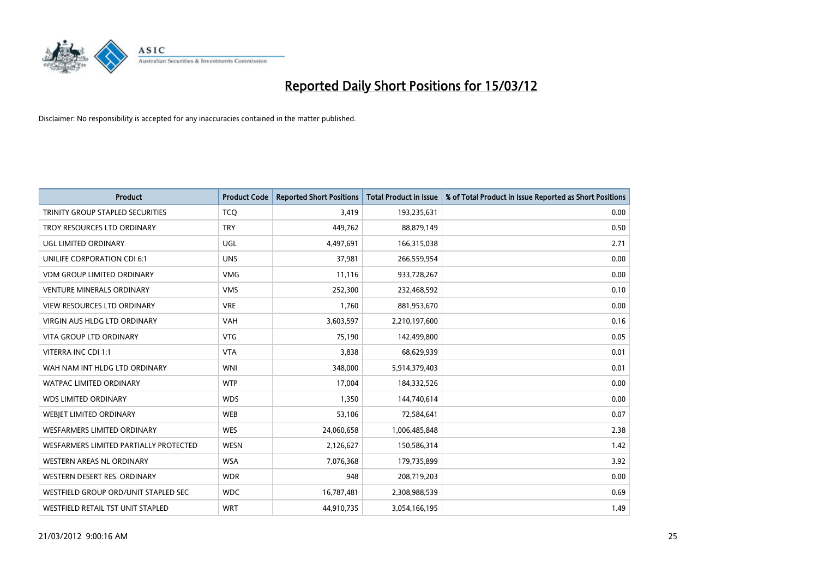

| <b>Product</b>                         | <b>Product Code</b> | <b>Reported Short Positions</b> | <b>Total Product in Issue</b> | % of Total Product in Issue Reported as Short Positions |
|----------------------------------------|---------------------|---------------------------------|-------------------------------|---------------------------------------------------------|
| TRINITY GROUP STAPLED SECURITIES       | <b>TCQ</b>          | 3,419                           | 193,235,631                   | 0.00                                                    |
| TROY RESOURCES LTD ORDINARY            | <b>TRY</b>          | 449,762                         | 88,879,149                    | 0.50                                                    |
| UGL LIMITED ORDINARY                   | UGL                 | 4,497,691                       | 166,315,038                   | 2.71                                                    |
| UNILIFE CORPORATION CDI 6:1            | <b>UNS</b>          | 37,981                          | 266,559,954                   | 0.00                                                    |
| <b>VDM GROUP LIMITED ORDINARY</b>      | <b>VMG</b>          | 11,116                          | 933,728,267                   | 0.00                                                    |
| <b>VENTURE MINERALS ORDINARY</b>       | <b>VMS</b>          | 252,300                         | 232,468,592                   | 0.10                                                    |
| <b>VIEW RESOURCES LTD ORDINARY</b>     | <b>VRE</b>          | 1,760                           | 881,953,670                   | 0.00                                                    |
| VIRGIN AUS HLDG LTD ORDINARY           | VAH                 | 3,603,597                       | 2,210,197,600                 | 0.16                                                    |
| <b>VITA GROUP LTD ORDINARY</b>         | <b>VTG</b>          | 75.190                          | 142,499,800                   | 0.05                                                    |
| VITERRA INC CDI 1:1                    | <b>VTA</b>          | 3,838                           | 68,629,939                    | 0.01                                                    |
| WAH NAM INT HLDG LTD ORDINARY          | <b>WNI</b>          | 348,000                         | 5,914,379,403                 | 0.01                                                    |
| <b>WATPAC LIMITED ORDINARY</b>         | <b>WTP</b>          | 17,004                          | 184,332,526                   | 0.00                                                    |
| <b>WDS LIMITED ORDINARY</b>            | <b>WDS</b>          | 1,350                           | 144,740,614                   | 0.00                                                    |
| WEBIET LIMITED ORDINARY                | <b>WEB</b>          | 53,106                          | 72,584,641                    | 0.07                                                    |
| WESFARMERS LIMITED ORDINARY            | <b>WES</b>          | 24,060,658                      | 1,006,485,848                 | 2.38                                                    |
| WESFARMERS LIMITED PARTIALLY PROTECTED | <b>WESN</b>         | 2,126,627                       | 150,586,314                   | 1.42                                                    |
| WESTERN AREAS NL ORDINARY              | <b>WSA</b>          | 7,076,368                       | 179,735,899                   | 3.92                                                    |
| WESTERN DESERT RES. ORDINARY           | <b>WDR</b>          | 948                             | 208,719,203                   | 0.00                                                    |
| WESTFIELD GROUP ORD/UNIT STAPLED SEC   | <b>WDC</b>          | 16,787,481                      | 2,308,988,539                 | 0.69                                                    |
| WESTFIELD RETAIL TST UNIT STAPLED      | <b>WRT</b>          | 44,910,735                      | 3,054,166,195                 | 1.49                                                    |